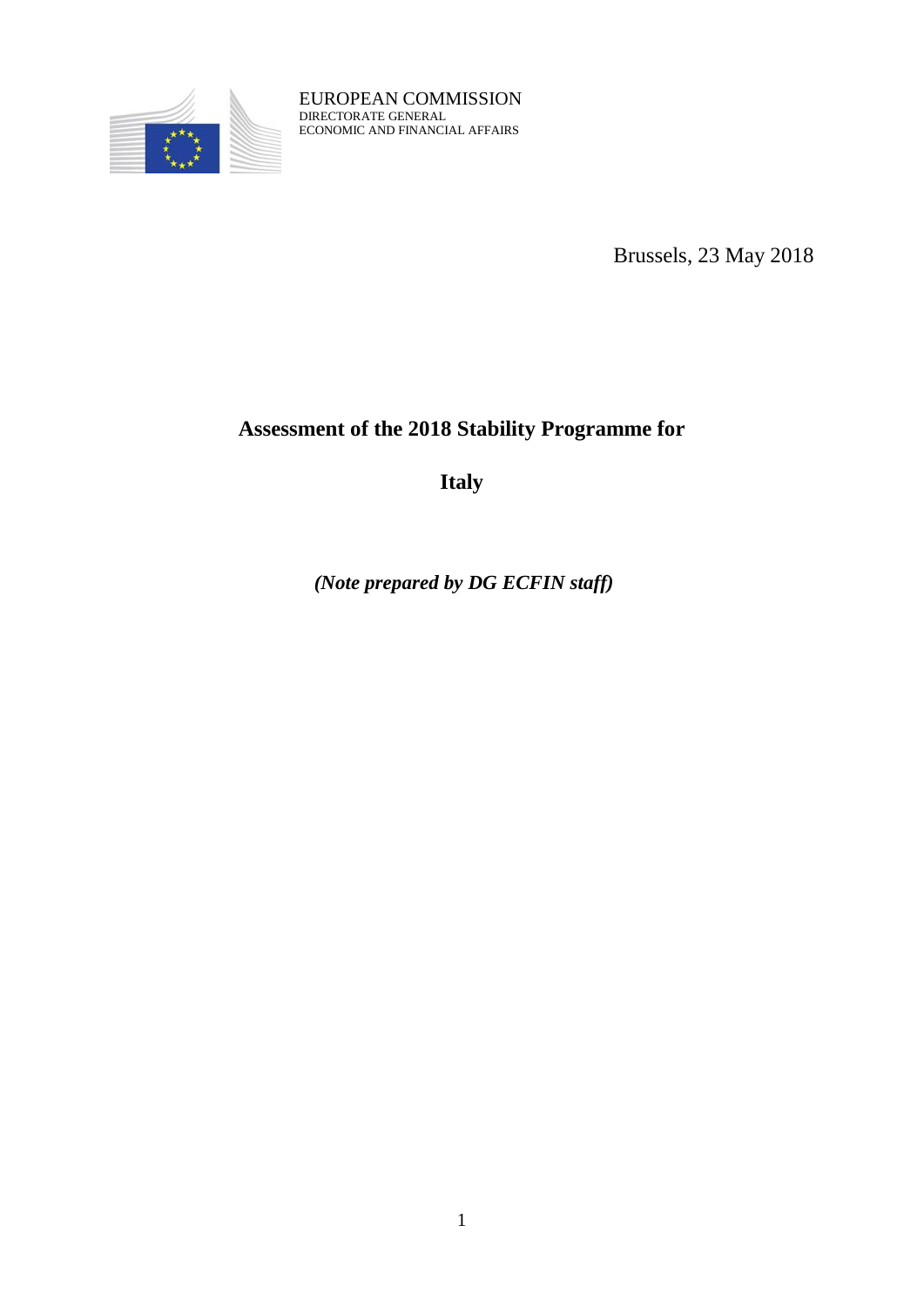

EUROPEAN COMMISSION DIRECTORATE GENERAL ECONOMIC AND FINANCIAL AFFAIRS

Brussels, 23 May 2018

# **Assessment of the 2018 Stability Programme for**

**Italy**

*(Note prepared by DG ECFIN staff)*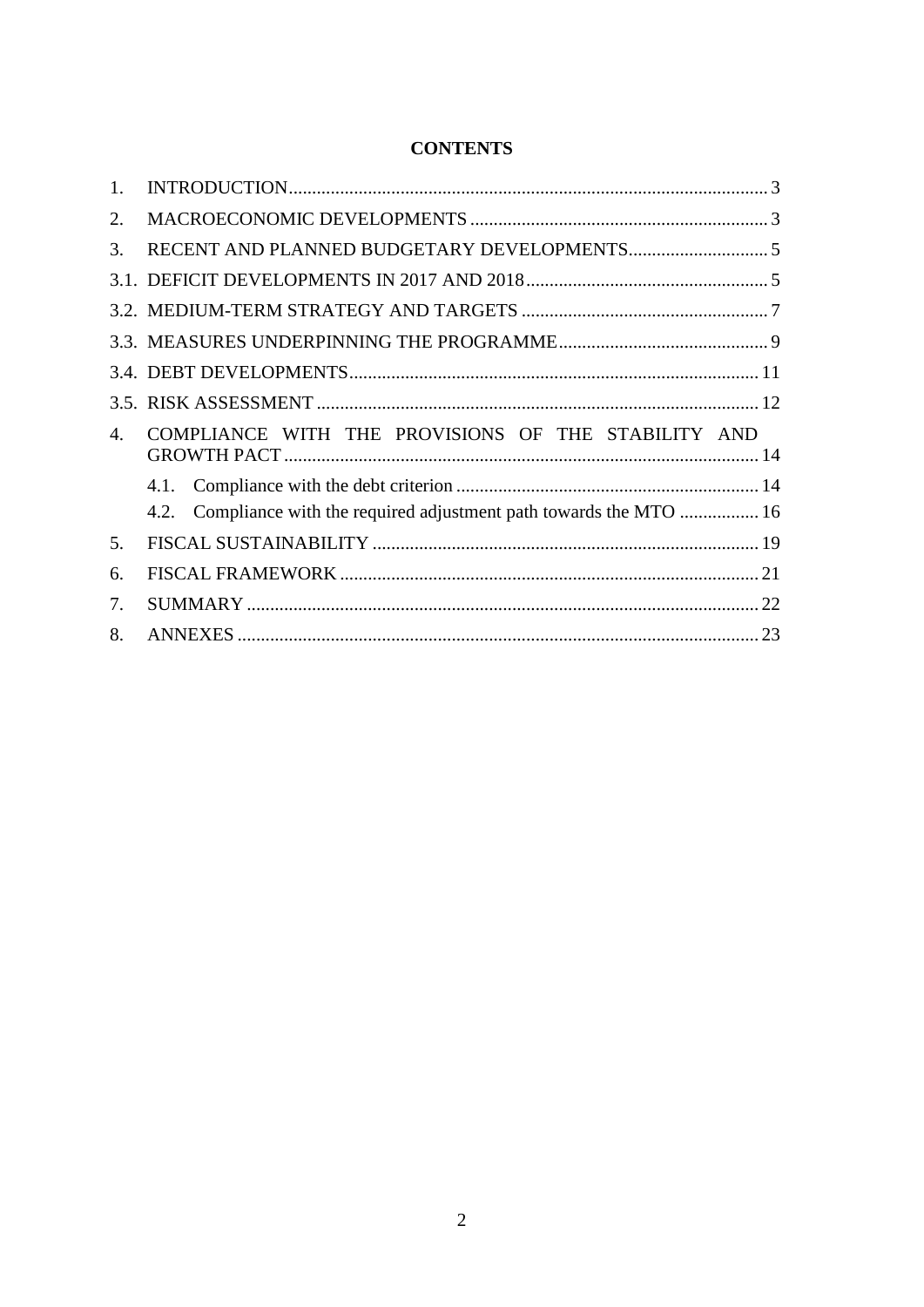| <b>CONTENTS</b> |
|-----------------|
|-----------------|

| $1_{-}$ |                                                                          |
|---------|--------------------------------------------------------------------------|
| 2.      |                                                                          |
| 3.      |                                                                          |
|         |                                                                          |
|         |                                                                          |
|         |                                                                          |
|         |                                                                          |
|         |                                                                          |
| 4.      | COMPLIANCE WITH THE PROVISIONS OF THE STABILITY AND                      |
|         |                                                                          |
|         | Compliance with the required adjustment path towards the MTO  16<br>4.2. |
| 5.      |                                                                          |
| 6.      |                                                                          |
| 7.      |                                                                          |
|         |                                                                          |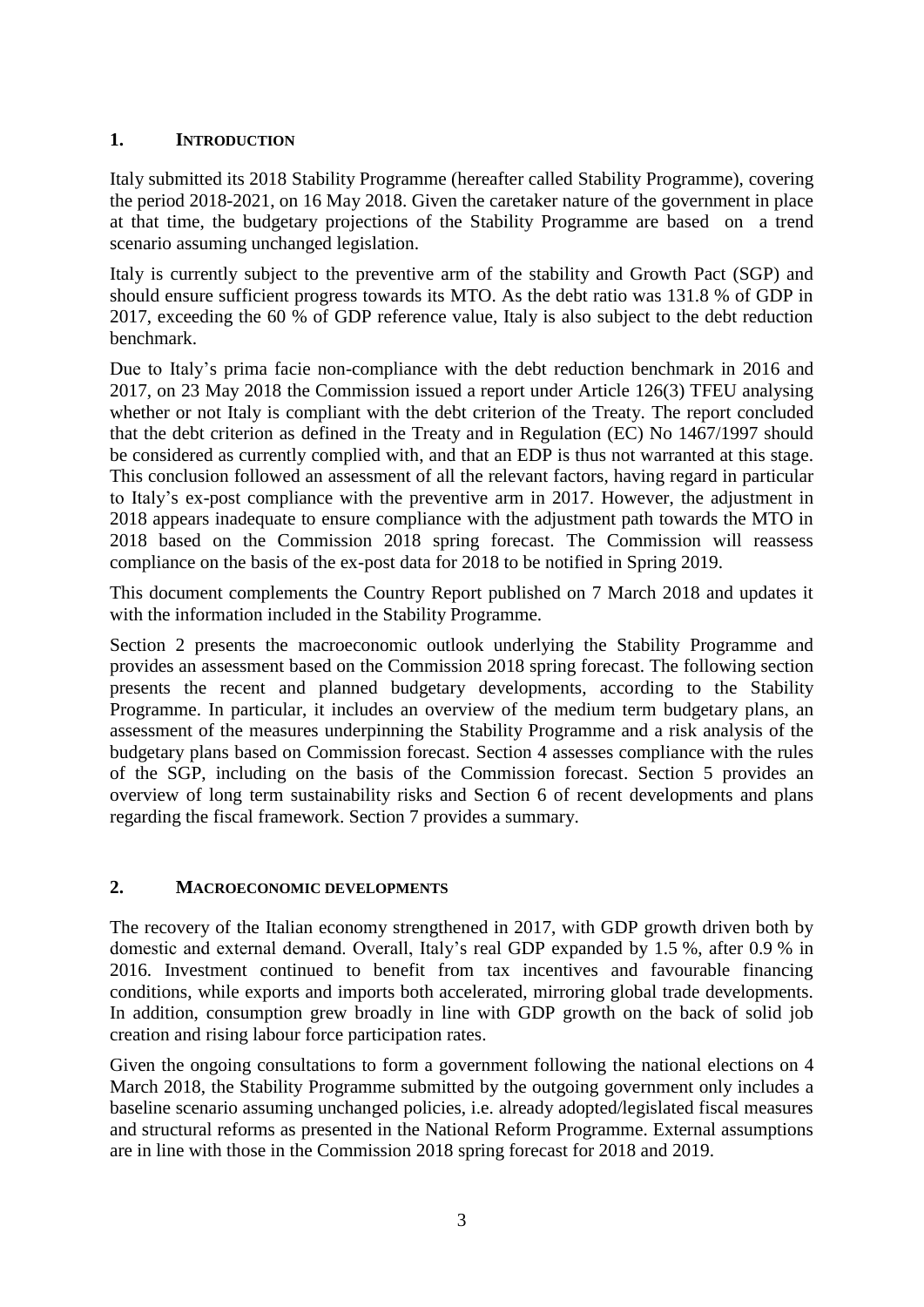# <span id="page-2-0"></span>**1. INTRODUCTION**

Italy submitted its 2018 Stability Programme (hereafter called Stability Programme), covering the period 2018-2021, on 16 May 2018. Given the caretaker nature of the government in place at that time, the budgetary projections of the Stability Programme are based on a trend scenario assuming unchanged legislation.

Italy is currently subject to the preventive arm of the stability and Growth Pact (SGP) and should ensure sufficient progress towards its MTO. As the debt ratio was 131.8 % of GDP in 2017, exceeding the 60 % of GDP reference value, Italy is also subject to the debt reduction benchmark.

Due to Italy's prima facie non-compliance with the debt reduction benchmark in 2016 and 2017, on 23 May 2018 the Commission issued a report under Article 126(3) TFEU analysing whether or not Italy is compliant with the debt criterion of the Treaty. The report concluded that the debt criterion as defined in the Treaty and in Regulation (EC) No 1467/1997 should be considered as currently complied with, and that an EDP is thus not warranted at this stage. This conclusion followed an assessment of all the relevant factors, having regard in particular to Italy's ex-post compliance with the preventive arm in 2017. However, the adjustment in 2018 appears inadequate to ensure compliance with the adjustment path towards the MTO in 2018 based on the Commission 2018 spring forecast. The Commission will reassess compliance on the basis of the ex-post data for 2018 to be notified in Spring 2019.

This document complements the Country Report published on 7 March 2018 and updates it with the information included in the Stability Programme.

Section 2 presents the macroeconomic outlook underlying the Stability Programme and provides an assessment based on the Commission 2018 spring forecast. The following section presents the recent and planned budgetary developments, according to the Stability Programme. In particular, it includes an overview of the medium term budgetary plans, an assessment of the measures underpinning the Stability Programme and a risk analysis of the budgetary plans based on Commission forecast. Section 4 assesses compliance with the rules of the SGP, including on the basis of the Commission forecast. Section 5 provides an overview of long term sustainability risks and Section 6 of recent developments and plans regarding the fiscal framework. Section 7 provides a summary.

# <span id="page-2-1"></span>**2. MACROECONOMIC DEVELOPMENTS**

The recovery of the Italian economy strengthened in 2017, with GDP growth driven both by domestic and external demand. Overall, Italy's real GDP expanded by 1.5 %, after 0.9 % in 2016. Investment continued to benefit from tax incentives and favourable financing conditions, while exports and imports both accelerated, mirroring global trade developments. In addition, consumption grew broadly in line with GDP growth on the back of solid job creation and rising labour force participation rates.

Given the ongoing consultations to form a government following the national elections on 4 March 2018, the Stability Programme submitted by the outgoing government only includes a baseline scenario assuming unchanged policies, i.e. already adopted/legislated fiscal measures and structural reforms as presented in the National Reform Programme. External assumptions are in line with those in the Commission 2018 spring forecast for 2018 and 2019.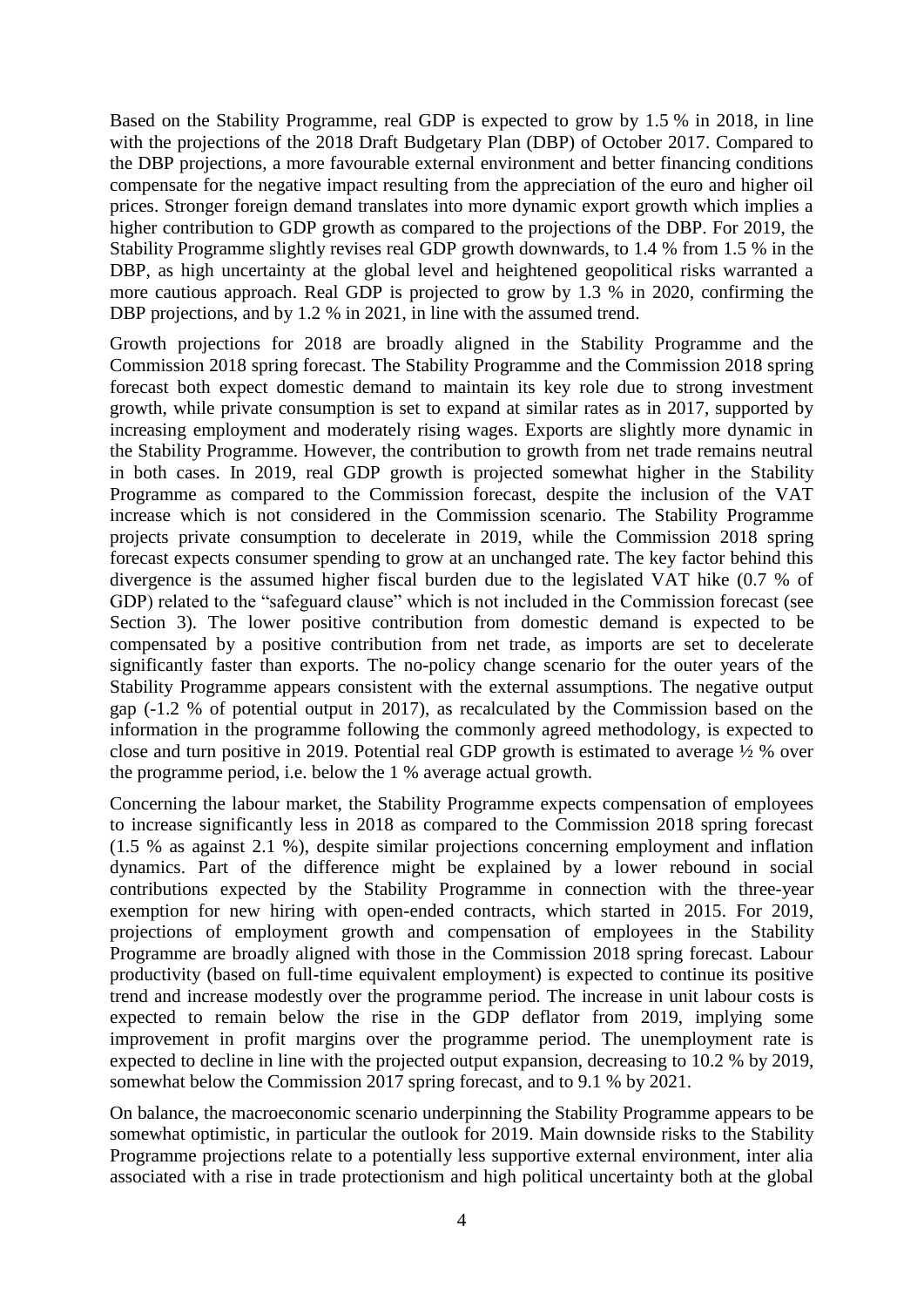Based on the Stability Programme, real GDP is expected to grow by 1.5 % in 2018, in line with the projections of the 2018 Draft Budgetary Plan (DBP) of October 2017. Compared to the DBP projections, a more favourable external environment and better financing conditions compensate for the negative impact resulting from the appreciation of the euro and higher oil prices. Stronger foreign demand translates into more dynamic export growth which implies a higher contribution to GDP growth as compared to the projections of the DBP. For 2019, the Stability Programme slightly revises real GDP growth downwards, to 1.4 % from 1.5 % in the DBP, as high uncertainty at the global level and heightened geopolitical risks warranted a more cautious approach. Real GDP is projected to grow by 1.3 % in 2020, confirming the DBP projections, and by 1.2 % in 2021, in line with the assumed trend.

Growth projections for 2018 are broadly aligned in the Stability Programme and the Commission 2018 spring forecast. The Stability Programme and the Commission 2018 spring forecast both expect domestic demand to maintain its key role due to strong investment growth, while private consumption is set to expand at similar rates as in 2017, supported by increasing employment and moderately rising wages. Exports are slightly more dynamic in the Stability Programme. However, the contribution to growth from net trade remains neutral in both cases. In 2019, real GDP growth is projected somewhat higher in the Stability Programme as compared to the Commission forecast, despite the inclusion of the VAT increase which is not considered in the Commission scenario. The Stability Programme projects private consumption to decelerate in 2019, while the Commission 2018 spring forecast expects consumer spending to grow at an unchanged rate. The key factor behind this divergence is the assumed higher fiscal burden due to the legislated VAT hike (0.7 % of GDP) related to the "safeguard clause" which is not included in the Commission forecast (see Section 3). The lower positive contribution from domestic demand is expected to be compensated by a positive contribution from net trade, as imports are set to decelerate significantly faster than exports. The no-policy change scenario for the outer years of the Stability Programme appears consistent with the external assumptions. The negative output gap (-1.2 % of potential output in 2017), as recalculated by the Commission based on the information in the programme following the commonly agreed methodology, is expected to close and turn positive in 2019. Potential real GDP growth is estimated to average ½ % over the programme period, i.e. below the 1 % average actual growth.

Concerning the labour market, the Stability Programme expects compensation of employees to increase significantly less in 2018 as compared to the Commission 2018 spring forecast (1.5 % as against 2.1 %), despite similar projections concerning employment and inflation dynamics. Part of the difference might be explained by a lower rebound in social contributions expected by the Stability Programme in connection with the three-year exemption for new hiring with open-ended contracts, which started in 2015. For 2019, projections of employment growth and compensation of employees in the Stability Programme are broadly aligned with those in the Commission 2018 spring forecast. Labour productivity (based on full-time equivalent employment) is expected to continue its positive trend and increase modestly over the programme period. The increase in unit labour costs is expected to remain below the rise in the GDP deflator from 2019, implying some improvement in profit margins over the programme period. The unemployment rate is expected to decline in line with the projected output expansion, decreasing to 10.2 % by 2019, somewhat below the Commission 2017 spring forecast, and to 9.1 % by 2021.

On balance, the macroeconomic scenario underpinning the Stability Programme appears to be somewhat optimistic, in particular the outlook for 2019. Main downside risks to the Stability Programme projections relate to a potentially less supportive external environment, inter alia associated with a rise in trade protectionism and high political uncertainty both at the global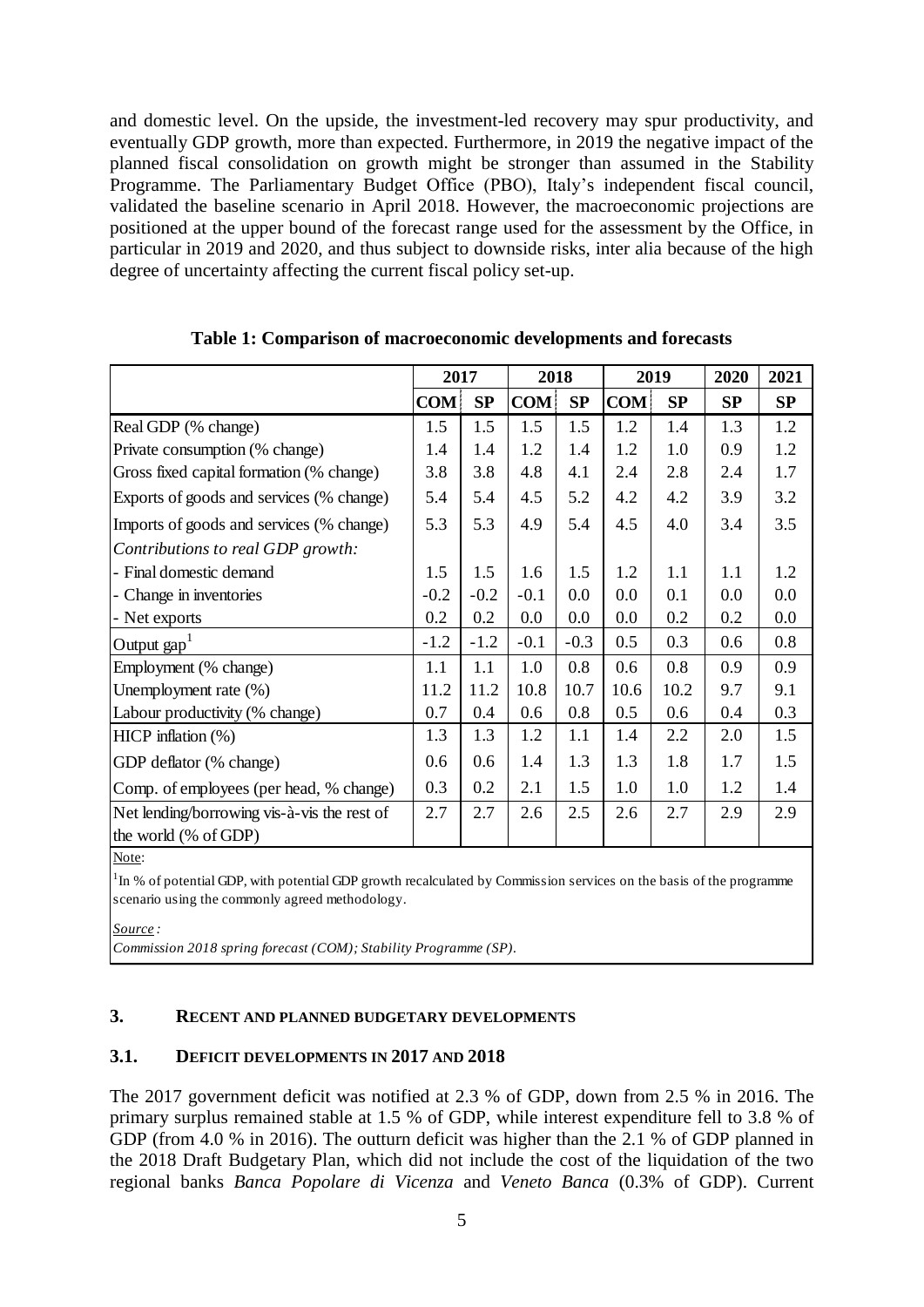and domestic level. On the upside, the investment-led recovery may spur productivity, and eventually GDP growth, more than expected. Furthermore, in 2019 the negative impact of the planned fiscal consolidation on growth might be stronger than assumed in the Stability Programme. The Parliamentary Budget Office (PBO), Italy's independent fiscal council, validated the baseline scenario in April 2018. However, the macroeconomic projections are positioned at the upper bound of the forecast range used for the assessment by the Office, in particular in 2019 and 2020, and thus subject to downside risks, inter alia because of the high degree of uncertainty affecting the current fiscal policy set-up.

|                                             | 2017       |        | 2018       |        |            | 2019 | 2020 | 2021 |
|---------------------------------------------|------------|--------|------------|--------|------------|------|------|------|
|                                             | <b>COM</b> | SP     | <b>COM</b> | SP     | <b>COM</b> | SP   | SP   | SP   |
| Real GDP (% change)                         | 1.5        | 1.5    | 1.5        | 1.5    | 1.2        | 1.4  | 1.3  | 1.2  |
| Private consumption (% change)              | 1.4        | 1.4    | 1.2        | 1.4    | 1.2        | 1.0  | 0.9  | 1.2  |
| Gross fixed capital formation (% change)    | 3.8        | 3.8    | 4.8        | 4.1    | 2.4        | 2.8  | 2.4  | 1.7  |
| Exports of goods and services (% change)    | 5.4        | 5.4    | 4.5        | 5.2    | 4.2        | 4.2  | 3.9  | 3.2  |
| Imports of goods and services (% change)    | 5.3        | 5.3    | 4.9        | 5.4    | 4.5        | 4.0  | 3.4  | 3.5  |
| Contributions to real GDP growth:           |            |        |            |        |            |      |      |      |
| - Final domestic demand                     | 1.5        | 1.5    | 1.6        | 1.5    | 1.2        | 1.1  | 1.1  | 1.2  |
| - Change in inventories                     | $-0.2$     | $-0.2$ | $-0.1$     | 0.0    | 0.0        | 0.1  | 0.0  | 0.0  |
| - Net exports                               | 0.2        | 0.2    | 0.0        | 0.0    | 0.0        | 0.2  | 0.2  | 0.0  |
| Output gap <sup>1</sup>                     | $-1.2$     | $-1.2$ | $-0.1$     | $-0.3$ | 0.5        | 0.3  | 0.6  | 0.8  |
| Employment (% change)                       | 1.1        | 1.1    | 1.0        | 0.8    | 0.6        | 0.8  | 0.9  | 0.9  |
| Unemployment rate (%)                       | 11.2       | 11.2   | 10.8       | 10.7   | 10.6       | 10.2 | 9.7  | 9.1  |
| Labour productivity (% change)              | 0.7        | 0.4    | 0.6        | 0.8    | 0.5        | 0.6  | 0.4  | 0.3  |
| HICP inflation $(\%)$                       | 1.3        | 1.3    | 1.2        | 1.1    | 1.4        | 2.2  | 2.0  | 1.5  |
| GDP deflator (% change)                     |            | 0.6    | 1.4        | 1.3    | 1.3        | 1.8  | 1.7  | 1.5  |
| Comp. of employees (per head, % change)     | 0.3        | 0.2    | 2.1        | 1.5    | 1.0        | 1.0  | 1.2  | 1.4  |
| Net lending/borrowing vis-à-vis the rest of | 2.7        | 2.7    | 2.6        | 2.5    | 2.6        | 2.7  | 2.9  | 2.9  |
| the world (% of GDP)                        |            |        |            |        |            |      |      |      |

**Table 1: Comparison of macroeconomic developments and forecasts**

Note:

 $1 \text{ m}$ % of potential GDP, with potential GDP growth recalculated by Commission services on the basis of the programme scenario using the commonly agreed methodology.

*Source :*

*Commission 2018 spring forecast (COM); Stability Programme (SP).*

# <span id="page-4-0"></span>**3. RECENT AND PLANNED BUDGETARY DEVELOPMENTS**

# <span id="page-4-1"></span>**3.1. DEFICIT DEVELOPMENTS IN 2017 AND 2018**

The 2017 government deficit was notified at 2.3 % of GDP, down from 2.5 % in 2016. The primary surplus remained stable at 1.5 % of GDP, while interest expenditure fell to 3.8 % of GDP (from 4.0 % in 2016). The outturn deficit was higher than the 2.1 % of GDP planned in the 2018 Draft Budgetary Plan, which did not include the cost of the liquidation of the two regional banks *Banca Popolare di Vicenza* and *Veneto Banca* (0.3% of GDP). Current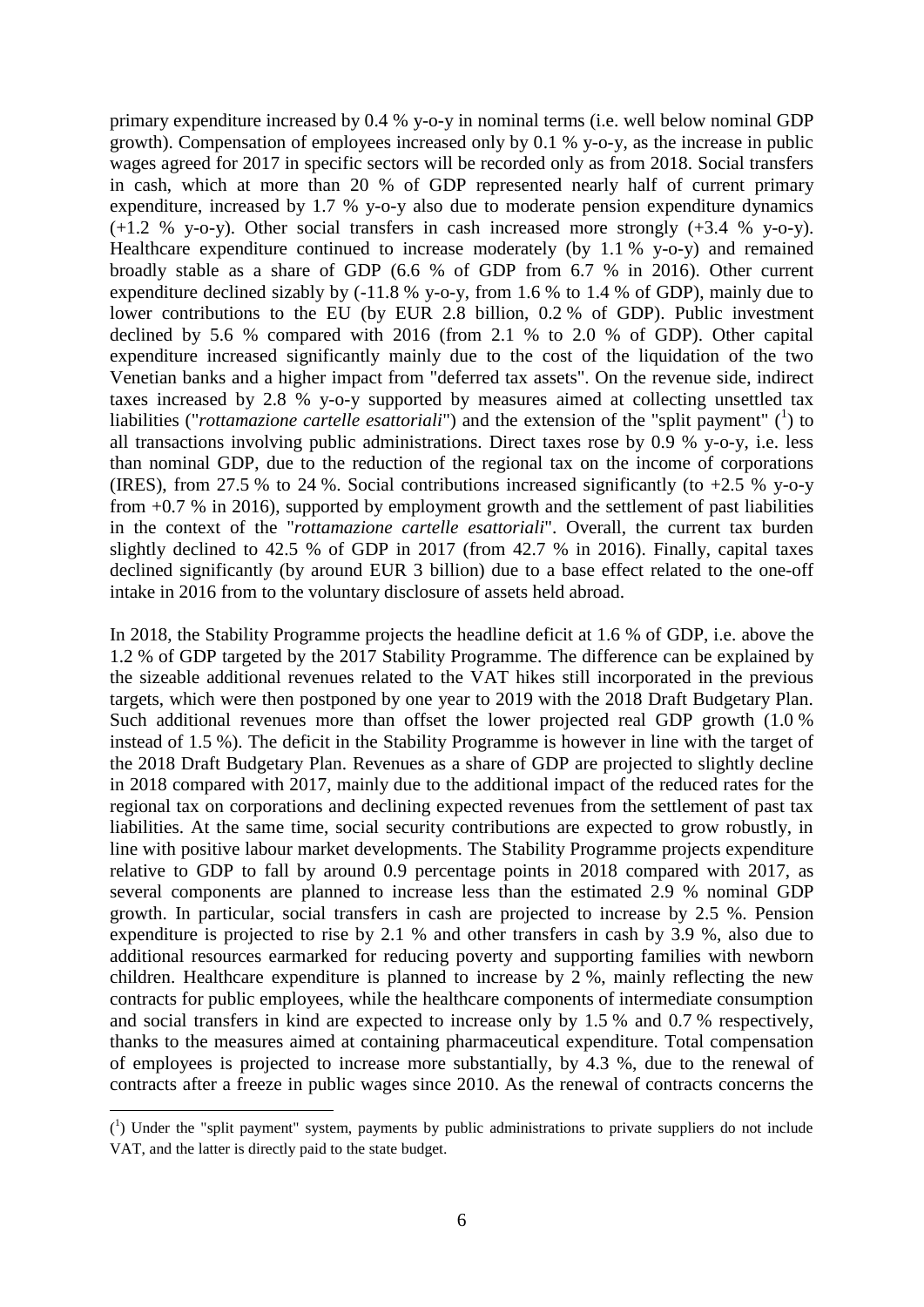primary expenditure increased by 0.4 % y-o-y in nominal terms (i.e. well below nominal GDP growth). Compensation of employees increased only by 0.1 % y-o-y, as the increase in public wages agreed for 2017 in specific sectors will be recorded only as from 2018. Social transfers in cash, which at more than 20 % of GDP represented nearly half of current primary expenditure, increased by 1.7 % y-o-y also due to moderate pension expenditure dynamics  $(+1.2 \%$  y-o-y). Other social transfers in cash increased more strongly  $(+3.4 \%$  y-o-y). Healthcare expenditure continued to increase moderately (by 1.1 % y-o-y) and remained broadly stable as a share of GDP (6.6 % of GDP from 6.7 % in 2016). Other current expenditure declined sizably by (-11.8 % y-o-y, from 1.6 % to 1.4 % of GDP), mainly due to lower contributions to the EU (by EUR 2.8 billion, 0.2 % of GDP). Public investment declined by 5.6 % compared with 2016 (from 2.1 % to 2.0 % of GDP). Other capital expenditure increased significantly mainly due to the cost of the liquidation of the two Venetian banks and a higher impact from "deferred tax assets". On the revenue side, indirect taxes increased by 2.8 % y-o-y supported by measures aimed at collecting unsettled tax liabilities ("*rottamazione cartelle esattoriali*") and the extension of the "split payment" (<sup>1</sup>) to all transactions involving public administrations. Direct taxes rose by 0.9 % y-o-y, i.e. less than nominal GDP, due to the reduction of the regional tax on the income of corporations (IRES), from 27.5 % to 24 %. Social contributions increased significantly (to  $+2.5$  % y-o-y from +0.7 % in 2016), supported by employment growth and the settlement of past liabilities in the context of the "*rottamazione cartelle esattoriali*". Overall, the current tax burden slightly declined to 42.5 % of GDP in 2017 (from 42.7 % in 2016). Finally, capital taxes declined significantly (by around EUR 3 billion) due to a base effect related to the one-off intake in 2016 from to the voluntary disclosure of assets held abroad.

In 2018, the Stability Programme projects the headline deficit at 1.6 % of GDP, i.e. above the 1.2 % of GDP targeted by the 2017 Stability Programme. The difference can be explained by the sizeable additional revenues related to the VAT hikes still incorporated in the previous targets, which were then postponed by one year to 2019 with the 2018 Draft Budgetary Plan. Such additional revenues more than offset the lower projected real GDP growth (1.0 % instead of 1.5 %). The deficit in the Stability Programme is however in line with the target of the 2018 Draft Budgetary Plan. Revenues as a share of GDP are projected to slightly decline in 2018 compared with 2017, mainly due to the additional impact of the reduced rates for the regional tax on corporations and declining expected revenues from the settlement of past tax liabilities. At the same time, social security contributions are expected to grow robustly, in line with positive labour market developments. The Stability Programme projects expenditure relative to GDP to fall by around 0.9 percentage points in 2018 compared with 2017, as several components are planned to increase less than the estimated 2.9 % nominal GDP growth. In particular, social transfers in cash are projected to increase by 2.5 %. Pension expenditure is projected to rise by 2.1 % and other transfers in cash by 3.9 %, also due to additional resources earmarked for reducing poverty and supporting families with newborn children. Healthcare expenditure is planned to increase by 2 %, mainly reflecting the new contracts for public employees, while the healthcare components of intermediate consumption and social transfers in kind are expected to increase only by 1.5 % and 0.7 % respectively, thanks to the measures aimed at containing pharmaceutical expenditure. Total compensation of employees is projected to increase more substantially, by 4.3 %, due to the renewal of contracts after a freeze in public wages since 2010. As the renewal of contracts concerns the

1

 $(1)$  Under the "split payment" system, payments by public administrations to private suppliers do not include VAT, and the latter is directly paid to the state budget.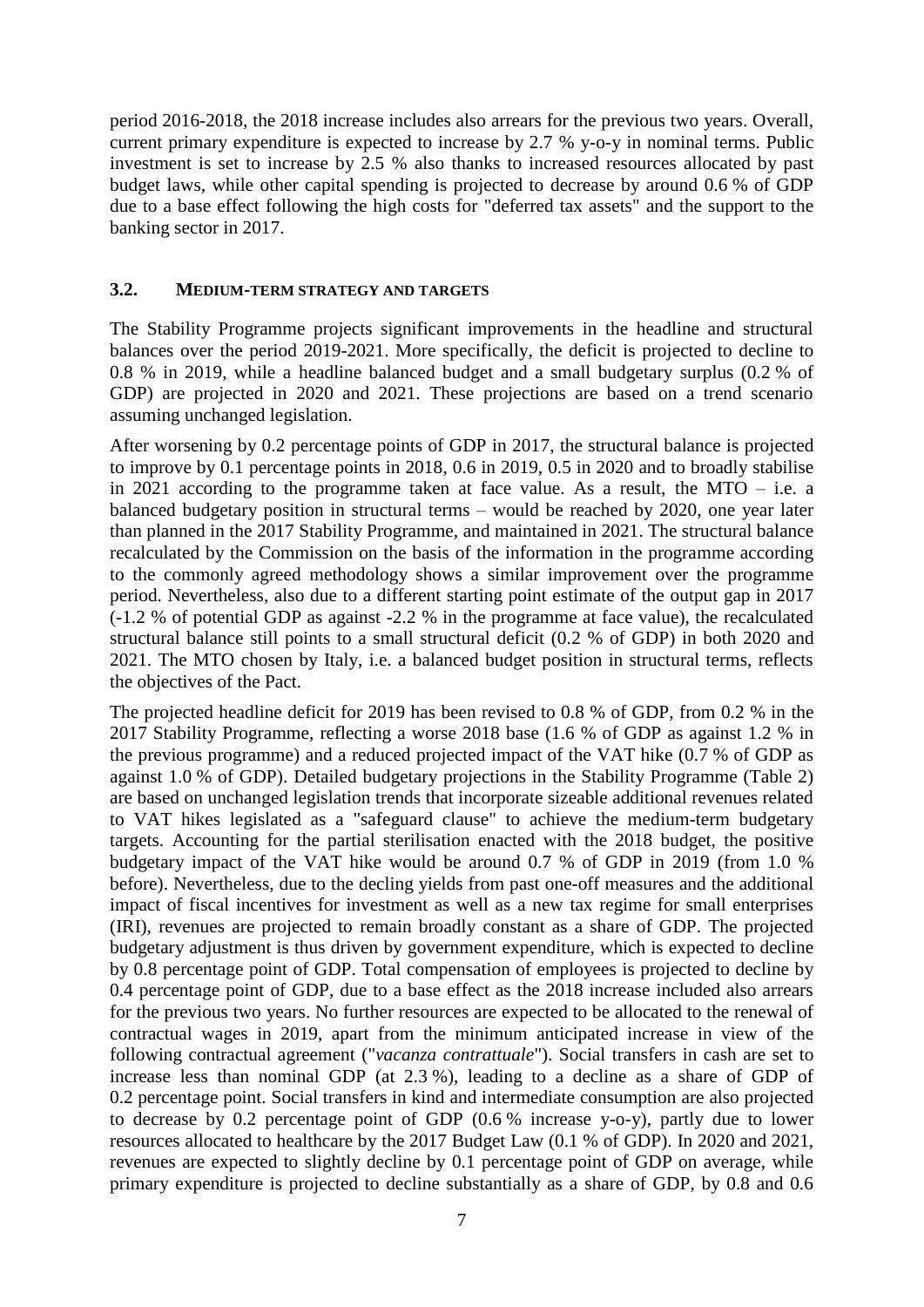period 2016-2018, the 2018 increase includes also arrears for the previous two years. Overall, current primary expenditure is expected to increase by 2.7 % y-o-y in nominal terms. Public investment is set to increase by 2.5 % also thanks to increased resources allocated by past budget laws, while other capital spending is projected to decrease by around 0.6 % of GDP due to a base effect following the high costs for "deferred tax assets" and the support to the banking sector in 2017.

#### <span id="page-6-0"></span>**3.2. MEDIUM-TERM STRATEGY AND TARGETS**

The Stability Programme projects significant improvements in the headline and structural balances over the period 2019-2021. More specifically, the deficit is projected to decline to 0.8 % in 2019, while a headline balanced budget and a small budgetary surplus (0.2 % of GDP) are projected in 2020 and 2021. These projections are based on a trend scenario assuming unchanged legislation.

After worsening by 0.2 percentage points of GDP in 2017, the structural balance is projected to improve by 0.1 percentage points in 2018, 0.6 in 2019, 0.5 in 2020 and to broadly stabilise in 2021 according to the programme taken at face value. As a result, the MTO – i.e. a balanced budgetary position in structural terms – would be reached by 2020, one year later than planned in the 2017 Stability Programme, and maintained in 2021. The structural balance recalculated by the Commission on the basis of the information in the programme according to the commonly agreed methodology shows a similar improvement over the programme period. Nevertheless, also due to a different starting point estimate of the output gap in 2017 (-1.2 % of potential GDP as against -2.2 % in the programme at face value), the recalculated structural balance still points to a small structural deficit (0.2 % of GDP) in both 2020 and 2021. The MTO chosen by Italy, i.e. a balanced budget position in structural terms, reflects the objectives of the Pact.

The projected headline deficit for 2019 has been revised to 0.8 % of GDP, from 0.2 % in the 2017 Stability Programme, reflecting a worse 2018 base (1.6 % of GDP as against 1.2 % in the previous programme) and a reduced projected impact of the VAT hike (0.7 % of GDP as against 1.0 % of GDP). Detailed budgetary projections in the Stability Programme (Table 2) are based on unchanged legislation trends that incorporate sizeable additional revenues related to VAT hikes legislated as a "safeguard clause" to achieve the medium-term budgetary targets. Accounting for the partial sterilisation enacted with the 2018 budget, the positive budgetary impact of the VAT hike would be around 0.7 % of GDP in 2019 (from 1.0 % before). Nevertheless, due to the decling yields from past one-off measures and the additional impact of fiscal incentives for investment as well as a new tax regime for small enterprises (IRI), revenues are projected to remain broadly constant as a share of GDP. The projected budgetary adjustment is thus driven by government expenditure, which is expected to decline by 0.8 percentage point of GDP. Total compensation of employees is projected to decline by 0.4 percentage point of GDP, due to a base effect as the 2018 increase included also arrears for the previous two years. No further resources are expected to be allocated to the renewal of contractual wages in 2019, apart from the minimum anticipated increase in view of the following contractual agreement ("*vacanza contrattuale*"). Social transfers in cash are set to increase less than nominal GDP (at 2.3 %), leading to a decline as a share of GDP of 0.2 percentage point. Social transfers in kind and intermediate consumption are also projected to decrease by 0.2 percentage point of GDP (0.6 % increase y-o-y), partly due to lower resources allocated to healthcare by the 2017 Budget Law (0.1 % of GDP). In 2020 and 2021, revenues are expected to slightly decline by 0.1 percentage point of GDP on average, while primary expenditure is projected to decline substantially as a share of GDP, by 0.8 and 0.6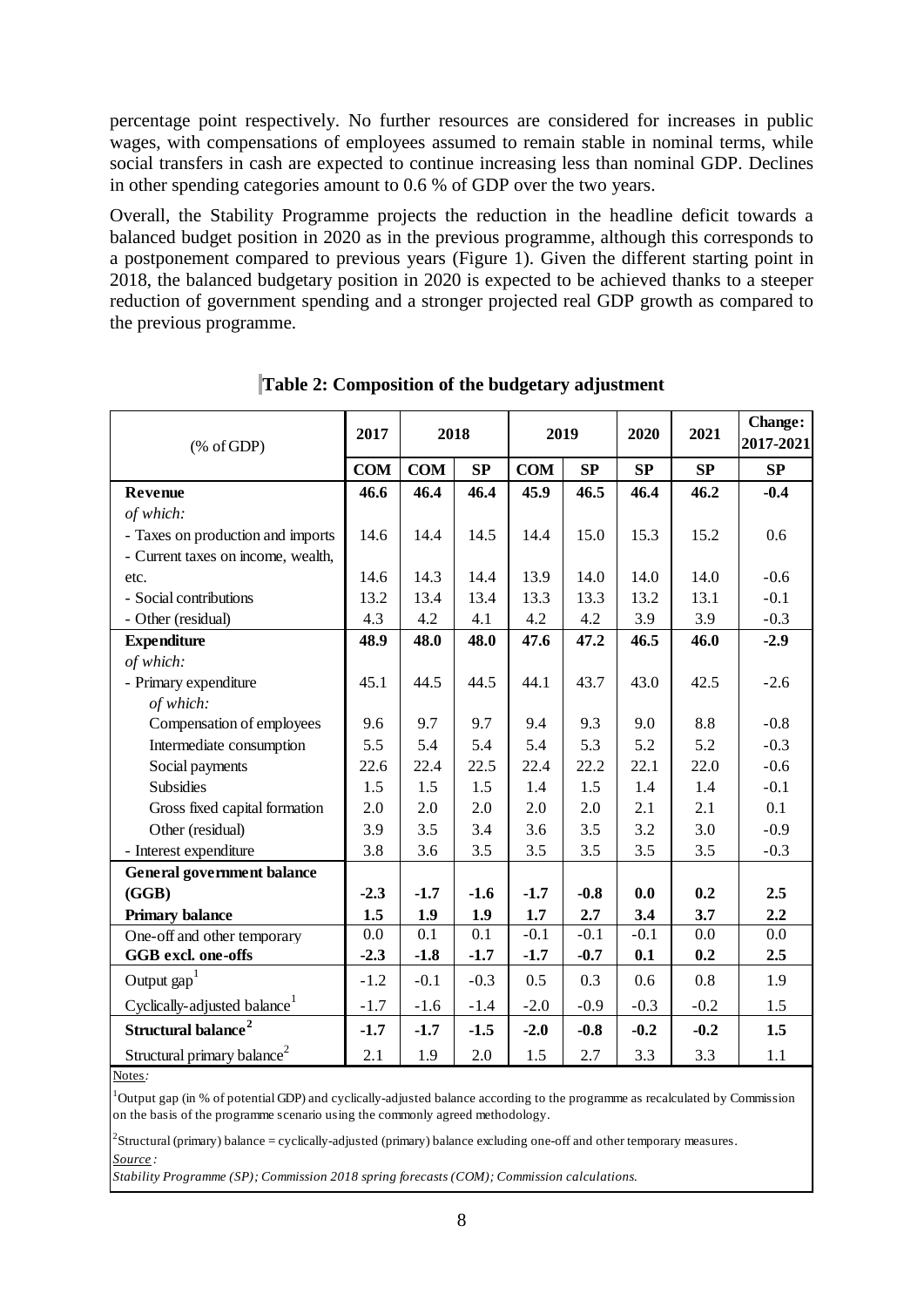percentage point respectively. No further resources are considered for increases in public wages, with compensations of employees assumed to remain stable in nominal terms, while social transfers in cash are expected to continue increasing less than nominal GDP. Declines in other spending categories amount to 0.6 % of GDP over the two years.

Overall, the Stability Programme projects the reduction in the headline deficit towards a balanced budget position in 2020 as in the previous programme, although this corresponds to a postponement compared to previous years (Figure 1). Given the different starting point in 2018, the balanced budgetary position in 2020 is expected to be achieved thanks to a steeper reduction of government spending and a stronger projected real GDP growth as compared to the previous programme.

| $(% \mathcal{L}_{0} \cap \mathcal{L}_{1})$ (% of GDP) | 2017       | 2018       |        | 2019       |        | 2020   | 2021   | <b>Change:</b><br>2017-2021 |
|-------------------------------------------------------|------------|------------|--------|------------|--------|--------|--------|-----------------------------|
|                                                       | <b>COM</b> | <b>COM</b> | SP     | <b>COM</b> | SP     | SP     | SP     | SP                          |
| Revenue                                               | 46.6       | 46.4       | 46.4   | 45.9       | 46.5   | 46.4   | 46.2   | $-0.4$                      |
| of which:                                             |            |            |        |            |        |        |        |                             |
| - Taxes on production and imports                     | 14.6       | 14.4       | 14.5   | 14.4       | 15.0   | 15.3   | 15.2   | 0.6                         |
| - Current taxes on income, wealth,                    |            |            |        |            |        |        |        |                             |
| etc.                                                  | 14.6       | 14.3       | 14.4   | 13.9       | 14.0   | 14.0   | 14.0   | $-0.6$                      |
| - Social contributions                                | 13.2       | 13.4       | 13.4   | 13.3       | 13.3   | 13.2   | 13.1   | $-0.1$                      |
| - Other (residual)                                    | 4.3        | 4.2        | 4.1    | 4.2        | 4.2    | 3.9    | 3.9    | $-0.3$                      |
| <b>Expenditure</b>                                    | 48.9       | 48.0       | 48.0   | 47.6       | 47.2   | 46.5   | 46.0   | $-2.9$                      |
| of which:                                             |            |            |        |            |        |        |        |                             |
| - Primary expenditure                                 | 45.1       | 44.5       | 44.5   | 44.1       | 43.7   | 43.0   | 42.5   | $-2.6$                      |
| of which:                                             |            |            |        |            |        |        |        |                             |
| Compensation of employees                             | 9.6        | 9.7        | 9.7    | 9.4        | 9.3    | 9.0    | 8.8    | $-0.8$                      |
| Intermediate consumption                              | 5.5        | 5.4        | 5.4    | 5.4        | 5.3    | 5.2    | 5.2    | $-0.3$                      |
| Social payments                                       | 22.6       | 22.4       | 22.5   | 22.4       | 22.2   | 22.1   | 22.0   | $-0.6$                      |
| <b>Subsidies</b>                                      | 1.5        | 1.5        | 1.5    | 1.4        | 1.5    | 1.4    | 1.4    | $-0.1$                      |
| Gross fixed capital formation                         | 2.0        | 2.0        | 2.0    | 2.0        | 2.0    | 2.1    | 2.1    | 0.1                         |
| Other (residual)                                      | 3.9        | 3.5        | 3.4    | 3.6        | 3.5    | 3.2    | 3.0    | $-0.9$                      |
| - Interest expenditure                                | 3.8        | 3.6        | 3.5    | 3.5        | 3.5    | 3.5    | 3.5    | $-0.3$                      |
| <b>General government balance</b>                     |            |            |        |            |        |        |        |                             |
| (GGB)                                                 | $-2.3$     | $-1.7$     | $-1.6$ | $-1.7$     | $-0.8$ | 0.0    | 0.2    | 2.5                         |
| <b>Primary balance</b>                                | 1.5        | 1.9        | 1.9    | 1.7        | 2.7    | 3.4    | 3.7    | 2.2                         |
| One-off and other temporary                           | 0.0        | 0.1        | 0.1    | $-0.1$     | $-0.1$ | $-0.1$ | 0.0    | 0.0                         |
| GGB excl. one-offs                                    | $-2.3$     | $-1.8$     | $-1.7$ | $-1.7$     | $-0.7$ | 0.1    | 0.2    | 2.5                         |
| Output $\text{gap}^1$                                 | $-1.2$     | $-0.1$     | $-0.3$ | 0.5        | 0.3    | 0.6    | 0.8    | 1.9                         |
| Cyclically-adjusted balance <sup>1</sup>              | $-1.7$     | $-1.6$     | $-1.4$ | $-2.0$     | $-0.9$ | $-0.3$ | $-0.2$ | 1.5                         |
| Structural balance <sup>2</sup>                       | $-1.7$     | $-1.7$     | $-1.5$ | $-2.0$     | $-0.8$ | $-0.2$ | $-0.2$ | 1.5                         |
| Structural primary balance <sup>2</sup>               | 2.1        | 1.9        | 2.0    | 1.5        | 2.7    | 3.3    | 3.3    | 1.1                         |

**Table 2: Composition of the budgetary adjustment**

Notes*:*

<sup>1</sup>Output gap (in % of potential GDP) and cyclically-adjusted balance according to the programme as recalculated by Commission on the basis of the programme scenario using the commonly agreed methodology.

*Source :*  $2$ Structural (primary) balance = cyclically-adjusted (primary) balance excluding one-off and other temporary measures.

*Stability Programme (SP); Commission 2018 spring forecasts (COM); Commission calculations.*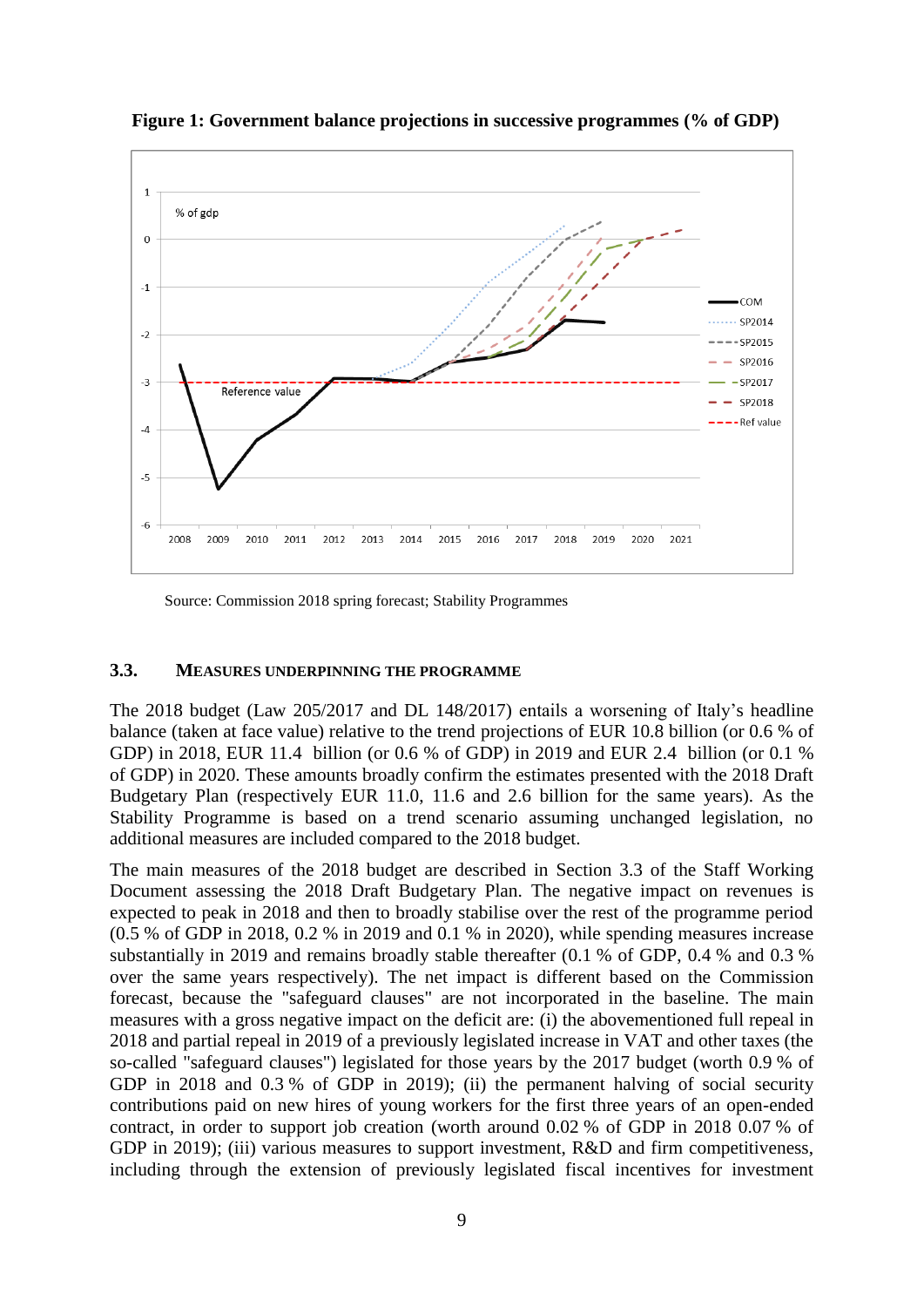

**Figure 1: Government balance projections in successive programmes (% of GDP)**

Source: Commission 2018 spring forecast; Stability Programmes

#### <span id="page-8-0"></span>**3.3. MEASURES UNDERPINNING THE PROGRAMME**

The 2018 budget (Law 205/2017 and DL 148/2017) entails a worsening of Italy's headline balance (taken at face value) relative to the trend projections of EUR 10.8 billion (or 0.6 % of GDP) in 2018, EUR 11.4 billion (or 0.6 % of GDP) in 2019 and EUR 2.4 billion (or 0.1 % of GDP) in 2020. These amounts broadly confirm the estimates presented with the 2018 Draft Budgetary Plan (respectively EUR 11.0, 11.6 and 2.6 billion for the same years). As the Stability Programme is based on a trend scenario assuming unchanged legislation, no additional measures are included compared to the 2018 budget.

The main measures of the 2018 budget are described in Section 3.3 of the Staff Working Document assessing the 2018 Draft Budgetary Plan. The negative impact on revenues is expected to peak in 2018 and then to broadly stabilise over the rest of the programme period (0.5 % of GDP in 2018, 0.2 % in 2019 and 0.1 % in 2020), while spending measures increase substantially in 2019 and remains broadly stable thereafter (0.1 % of GDP, 0.4 % and 0.3 % over the same years respectively). The net impact is different based on the Commission forecast, because the "safeguard clauses" are not incorporated in the baseline. The main measures with a gross negative impact on the deficit are: (i) the abovementioned full repeal in 2018 and partial repeal in 2019 of a previously legislated increase in VAT and other taxes (the so-called "safeguard clauses") legislated for those years by the 2017 budget (worth 0.9 % of GDP in 2018 and 0.3 % of GDP in 2019); (ii) the permanent halving of social security contributions paid on new hires of young workers for the first three years of an open-ended contract, in order to support job creation (worth around 0.02 % of GDP in 2018 0.07 % of GDP in 2019); (iii) various measures to support investment, R&D and firm competitiveness, including through the extension of previously legislated fiscal incentives for investment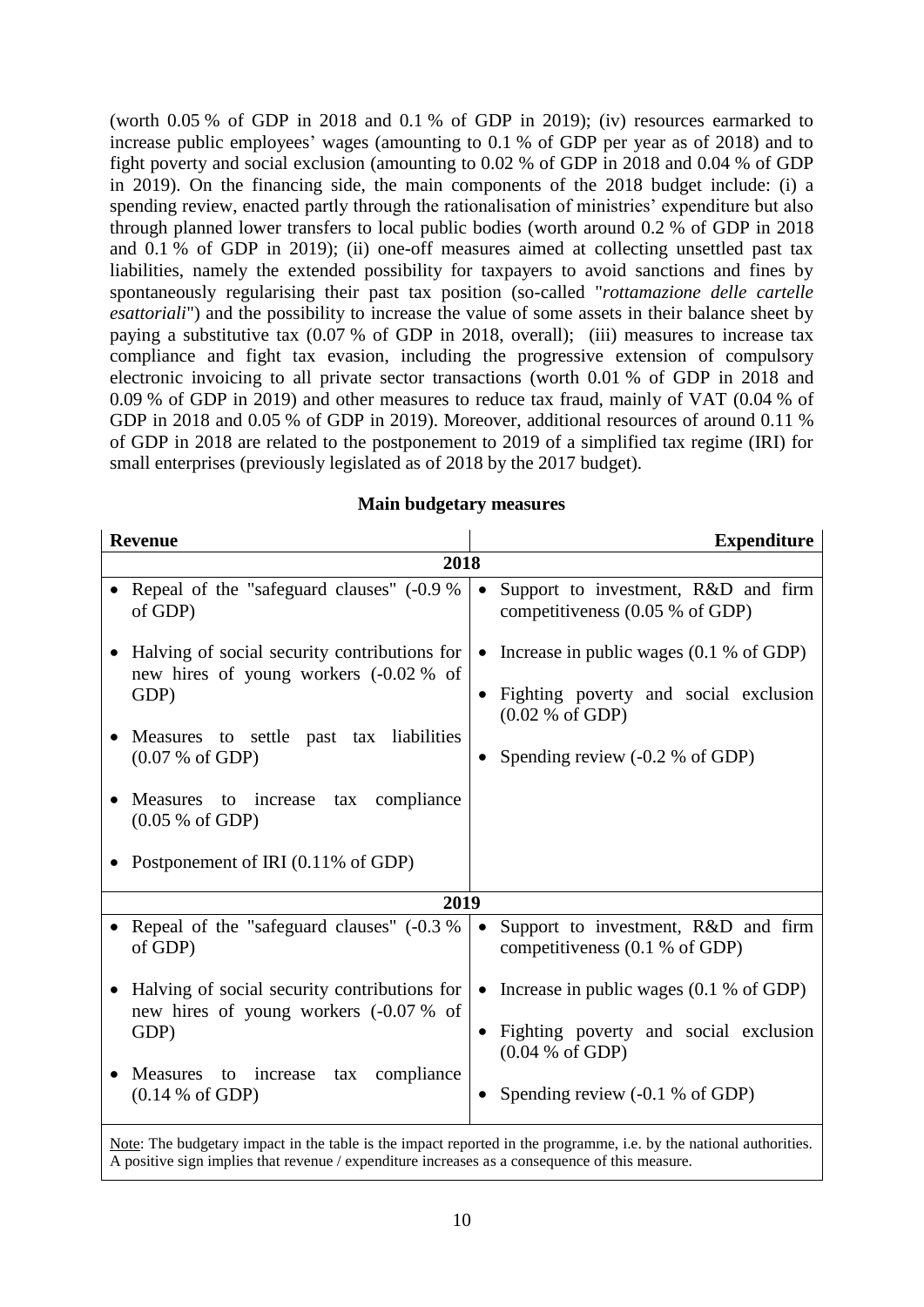(worth 0.05 % of GDP in 2018 and 0.1 % of GDP in 2019); (iv) resources earmarked to increase public employees' wages (amounting to 0.1 % of GDP per year as of 2018) and to fight poverty and social exclusion (amounting to 0.02 % of GDP in 2018 and 0.04 % of GDP in 2019). On the financing side, the main components of the 2018 budget include: (i) a spending review, enacted partly through the rationalisation of ministries' expenditure but also through planned lower transfers to local public bodies (worth around 0.2 % of GDP in 2018 and 0.1 % of GDP in 2019); (ii) one-off measures aimed at collecting unsettled past tax liabilities, namely the extended possibility for taxpayers to avoid sanctions and fines by spontaneously regularising their past tax position (so-called "*rottamazione delle cartelle esattoriali*") and the possibility to increase the value of some assets in their balance sheet by paying a substitutive tax (0.07 % of GDP in 2018, overall); (iii) measures to increase tax compliance and fight tax evasion, including the progressive extension of compulsory electronic invoicing to all private sector transactions (worth 0.01 % of GDP in 2018 and 0.09 % of GDP in 2019) and other measures to reduce tax fraud, mainly of VAT (0.04 % of GDP in 2018 and 0.05 % of GDP in 2019). Moreover, additional resources of around 0.11 % of GDP in 2018 are related to the postponement to 2019 of a simplified tax regime (IRI) for small enterprises (previously legislated as of 2018 by the 2017 budget).

| <b>Revenue</b>                                                                                                                                                                                                                       | <b>Expenditure</b>                                                                                                                            |
|--------------------------------------------------------------------------------------------------------------------------------------------------------------------------------------------------------------------------------------|-----------------------------------------------------------------------------------------------------------------------------------------------|
| 2018                                                                                                                                                                                                                                 |                                                                                                                                               |
| Repeal of the "safeguard clauses" (-0.9 %<br>of GDP)                                                                                                                                                                                 | Support to investment, R&D and firm<br>$\bullet$<br>competitiveness $(0.05 %$ of GDP)                                                         |
| Halving of social security contributions for<br>new hires of young workers (-0.02 % of<br>GDP)                                                                                                                                       | • Increase in public wages $(0.1 % of GDP)$<br>Fighting poverty and social exclusion<br>$\bullet$<br>(0.02 % of GDP)                          |
| Measures to settle past tax liabilities<br>(0.07 % of GDP)                                                                                                                                                                           | Spending review $(-0.2 %$ of GDP)                                                                                                             |
| Measures to increase<br>compliance<br>tax<br>(0.05 % of GDP)                                                                                                                                                                         |                                                                                                                                               |
| Postponement of IRI (0.11% of GDP)                                                                                                                                                                                                   |                                                                                                                                               |
| 2019                                                                                                                                                                                                                                 |                                                                                                                                               |
| Repeal of the "safeguard clauses" (-0.3 %<br>of GDP)                                                                                                                                                                                 | Support to investment, R&D and firm<br>$\bullet$<br>competitiveness (0.1 % of GDP)                                                            |
| Halving of social security contributions for<br>$\bullet$<br>new hires of young workers (-0.07 % of                                                                                                                                  | Increase in public wages $(0.1 % of GDP)$<br>$\bullet$                                                                                        |
| GDP)                                                                                                                                                                                                                                 | Fighting poverty and social exclusion<br>$\bullet$<br>(0.04 % of GDP)                                                                         |
| Measures to increase<br>tax compliance<br>(0.14 % of GDP)                                                                                                                                                                            | Spending review $(-0.1 %$ of GDP)                                                                                                             |
| $\frac{1}{2}$ . The state of the state $\frac{1}{2}$ is the state of the state of the state of the state of the state of the state of the state of the state of the state of the state of the state of the state of the state of the | $\frac{1}{2}$ , $\frac{1}{2}$ , $\frac{1}{2}$ , $\frac{1}{2}$ , $\frac{1}{2}$ , $\frac{1}{2}$ , $\frac{1}{2}$ , $\frac{1}{2}$ , $\frac{1}{2}$ |

### **Main budgetary measures**

Note: The budgetary impact in the table is the impact reported in the programme, i.e. by the national authorities. A positive sign implies that revenue / expenditure increases as a consequence of this measure.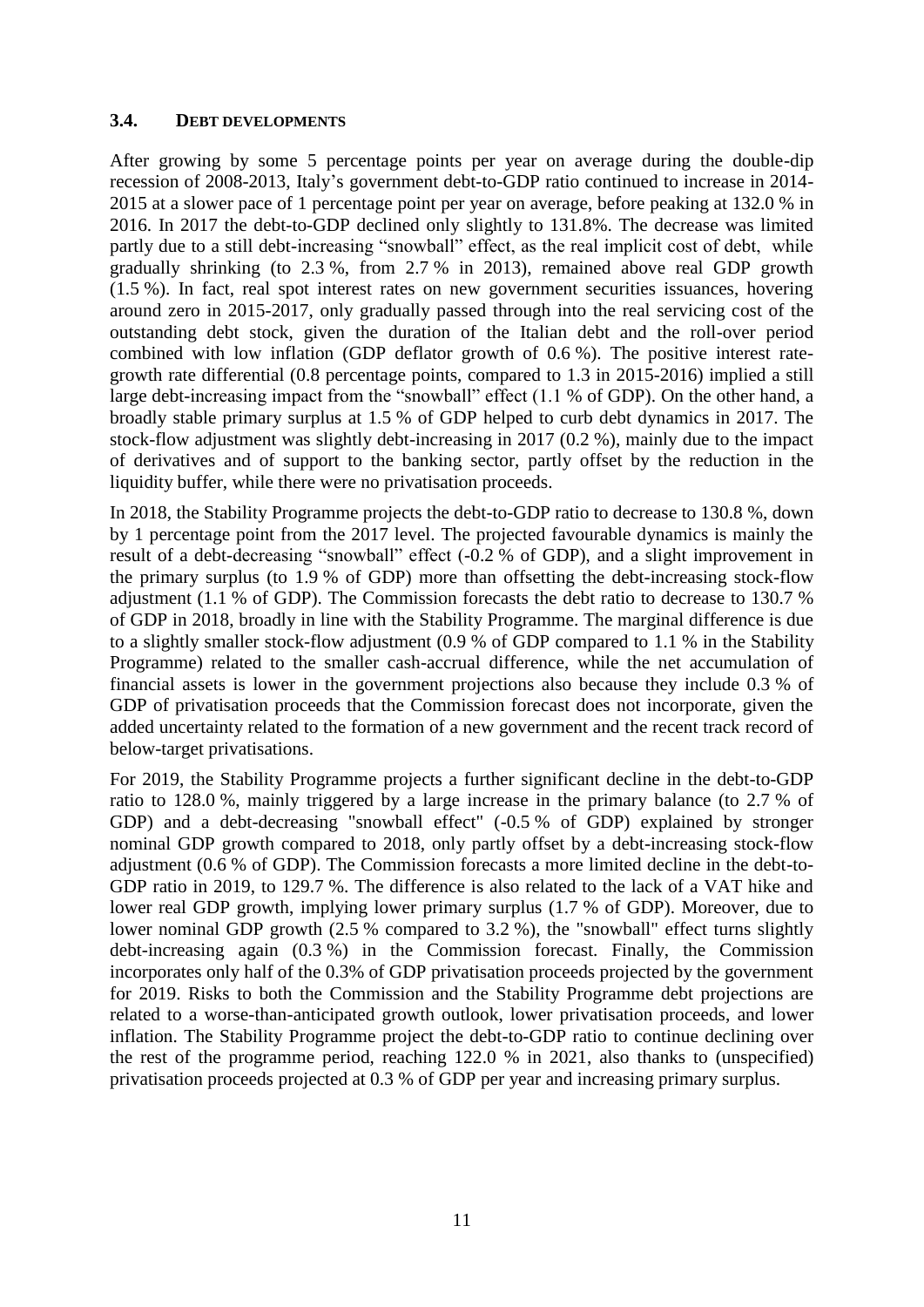#### <span id="page-10-0"></span>**3.4. DEBT DEVELOPMENTS**

After growing by some 5 percentage points per year on average during the double-dip recession of 2008-2013, Italy's government debt-to-GDP ratio continued to increase in 2014- 2015 at a slower pace of 1 percentage point per year on average, before peaking at 132.0 % in 2016. In 2017 the debt-to-GDP declined only slightly to 131.8%. The decrease was limited partly due to a still debt-increasing "snowball" effect, as the real implicit cost of debt, while gradually shrinking (to 2.3 %, from 2.7 % in 2013), remained above real GDP growth (1.5 %). In fact, real spot interest rates on new government securities issuances, hovering around zero in 2015-2017, only gradually passed through into the real servicing cost of the outstanding debt stock, given the duration of the Italian debt and the roll-over period combined with low inflation (GDP deflator growth of 0.6 %). The positive interest rategrowth rate differential (0.8 percentage points, compared to 1.3 in 2015-2016) implied a still large debt-increasing impact from the "snowball" effect (1.1 % of GDP). On the other hand, a broadly stable primary surplus at 1.5 % of GDP helped to curb debt dynamics in 2017. The stock-flow adjustment was slightly debt-increasing in 2017 (0.2 %), mainly due to the impact of derivatives and of support to the banking sector, partly offset by the reduction in the liquidity buffer, while there were no privatisation proceeds.

In 2018, the Stability Programme projects the debt-to-GDP ratio to decrease to 130.8 %, down by 1 percentage point from the 2017 level. The projected favourable dynamics is mainly the result of a debt-decreasing "snowball" effect (-0.2 % of GDP), and a slight improvement in the primary surplus (to 1.9 % of GDP) more than offsetting the debt-increasing stock-flow adjustment (1.1 % of GDP). The Commission forecasts the debt ratio to decrease to 130.7 % of GDP in 2018, broadly in line with the Stability Programme. The marginal difference is due to a slightly smaller stock-flow adjustment (0.9 % of GDP compared to 1.1 % in the Stability Programme) related to the smaller cash-accrual difference, while the net accumulation of financial assets is lower in the government projections also because they include 0.3 % of GDP of privatisation proceeds that the Commission forecast does not incorporate, given the added uncertainty related to the formation of a new government and the recent track record of below-target privatisations.

For 2019, the Stability Programme projects a further significant decline in the debt-to-GDP ratio to 128.0 %, mainly triggered by a large increase in the primary balance (to 2.7 % of GDP) and a debt-decreasing "snowball effect" (-0.5 % of GDP) explained by stronger nominal GDP growth compared to 2018, only partly offset by a debt-increasing stock-flow adjustment (0.6 % of GDP). The Commission forecasts a more limited decline in the debt-to-GDP ratio in 2019, to 129.7 %. The difference is also related to the lack of a VAT hike and lower real GDP growth, implying lower primary surplus (1.7 % of GDP). Moreover, due to lower nominal GDP growth (2.5 % compared to 3.2 %), the "snowball" effect turns slightly debt-increasing again (0.3 %) in the Commission forecast. Finally, the Commission incorporates only half of the 0.3% of GDP privatisation proceeds projected by the government for 2019. Risks to both the Commission and the Stability Programme debt projections are related to a worse-than-anticipated growth outlook, lower privatisation proceeds, and lower inflation. The Stability Programme project the debt-to-GDP ratio to continue declining over the rest of the programme period, reaching 122.0 % in 2021, also thanks to (unspecified) privatisation proceeds projected at 0.3 % of GDP per year and increasing primary surplus.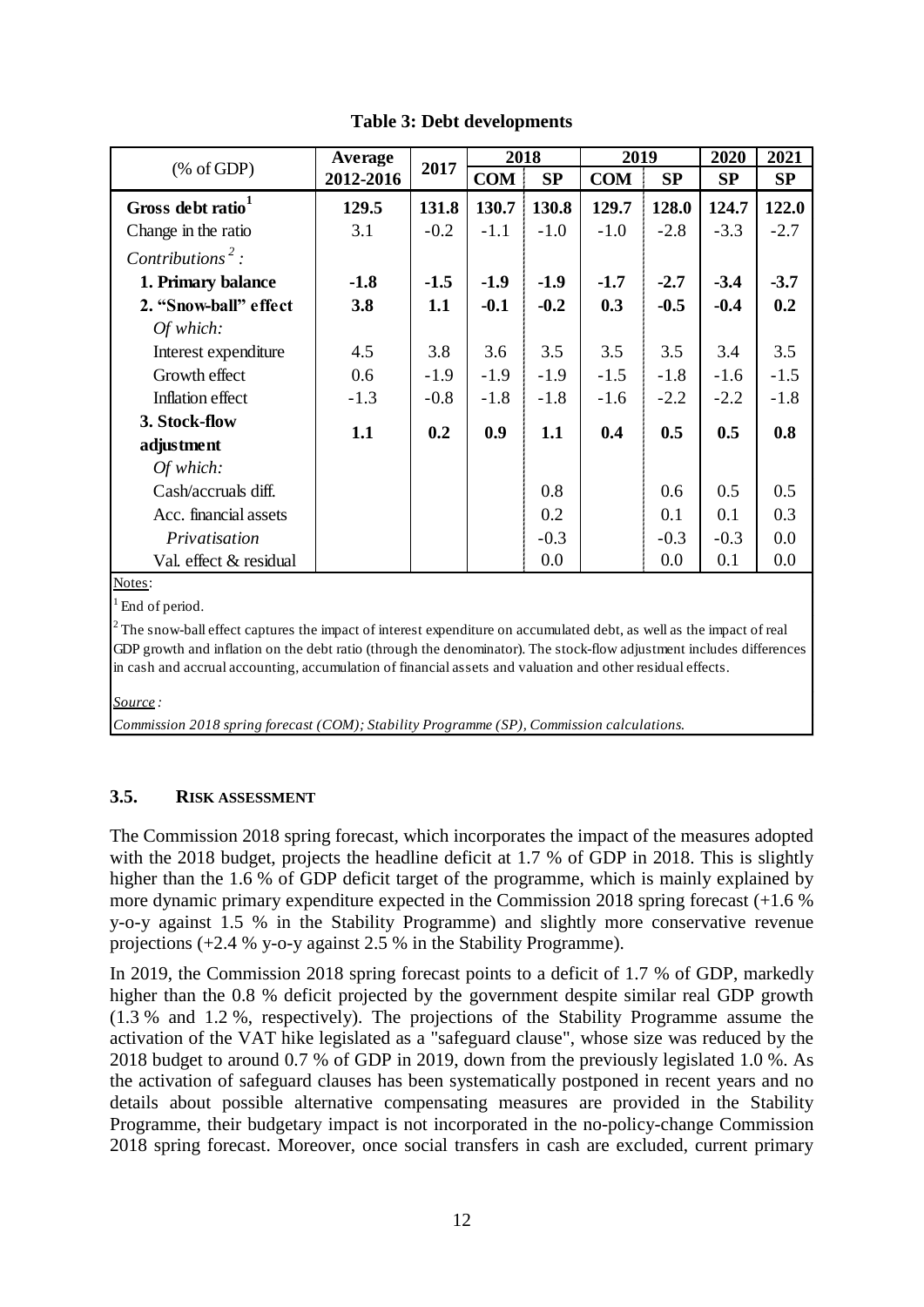|                               | Average   |        | 2018       |        | 2019       |        | 2020   | 2021   |
|-------------------------------|-----------|--------|------------|--------|------------|--------|--------|--------|
| % of GDP                      | 2012-2016 | 2017   | <b>COM</b> | SP     | <b>COM</b> | SP     | SP     | SP     |
| Gross debt ratio <sup>1</sup> | 129.5     | 131.8  | 130.7      | 130.8  | 129.7      | 128.0  | 124.7  | 122.0  |
| Change in the ratio           | 3.1       | $-0.2$ | $-1.1$     | $-1.0$ | $-1.0$     | $-2.8$ | $-3.3$ | $-2.7$ |
| Contributions <sup>2</sup> :  |           |        |            |        |            |        |        |        |
| 1. Primary balance            | $-1.8$    | $-1.5$ | $-1.9$     | $-1.9$ | $-1.7$     | $-2.7$ | $-3.4$ | $-3.7$ |
| 2. "Snow-ball" effect         | 3.8       | 1.1    | $-0.1$     | $-0.2$ | 0.3        | $-0.5$ | $-0.4$ | 0.2    |
| Of which:                     |           |        |            |        |            |        |        |        |
| Interest expenditure          | 4.5       | 3.8    | 3.6        | 3.5    | 3.5        | 3.5    | 3.4    | 3.5    |
| Growth effect                 | 0.6       | $-1.9$ | $-1.9$     | $-1.9$ | $-1.5$     | $-1.8$ | $-1.6$ | $-1.5$ |
| Inflation effect              | $-1.3$    | $-0.8$ | $-1.8$     | $-1.8$ | $-1.6$     | $-2.2$ | $-2.2$ | $-1.8$ |
| 3. Stock-flow                 | 1.1       | 0.2    | 0.9        | 1.1    | 0.4        | 0.5    | 0.5    | 0.8    |
| adjustment                    |           |        |            |        |            |        |        |        |
| Of which:                     |           |        |            |        |            |        |        |        |
| Cash/accruals diff.           |           |        |            | 0.8    |            | 0.6    | 0.5    | 0.5    |
| Acc. financial assets         |           |        |            | 0.2    |            | 0.1    | 0.1    | 0.3    |
| Privatisation                 |           |        |            | $-0.3$ |            | $-0.3$ | $-0.3$ | 0.0    |
| Val. effect & residual        |           |        |            | 0.0    |            | 0.0    | 0.1    | 0.0    |

**Table 3: Debt developments**

Notes:

End of period.

 $2^2$ The snow-ball effect captures the impact of interest expenditure on accumulated debt, as well as the impact of real GDP growth and inflation on the debt ratio (through the denominator). The stock-flow adjustment includes differences in cash and accrual accounting, accumulation of financial assets and valuation and other residual effects.

*Source :*

*Commission 2018 spring forecast (COM); Stability Programme (SP), Commission calculations.*

# <span id="page-11-0"></span>**3.5. RISK ASSESSMENT**

The Commission 2018 spring forecast, which incorporates the impact of the measures adopted with the 2018 budget, projects the headline deficit at 1.7 % of GDP in 2018. This is slightly higher than the 1.6 % of GDP deficit target of the programme, which is mainly explained by more dynamic primary expenditure expected in the Commission 2018 spring forecast (+1.6 % y-o-y against 1.5 % in the Stability Programme) and slightly more conservative revenue projections (+2.4 % y-o-y against 2.5 % in the Stability Programme).

In 2019, the Commission 2018 spring forecast points to a deficit of 1.7 % of GDP, markedly higher than the 0.8 % deficit projected by the government despite similar real GDP growth (1.3 % and 1.2 %, respectively). The projections of the Stability Programme assume the activation of the VAT hike legislated as a "safeguard clause", whose size was reduced by the 2018 budget to around 0.7 % of GDP in 2019, down from the previously legislated 1.0 %. As the activation of safeguard clauses has been systematically postponed in recent years and no details about possible alternative compensating measures are provided in the Stability Programme, their budgetary impact is not incorporated in the no-policy-change Commission 2018 spring forecast. Moreover, once social transfers in cash are excluded, current primary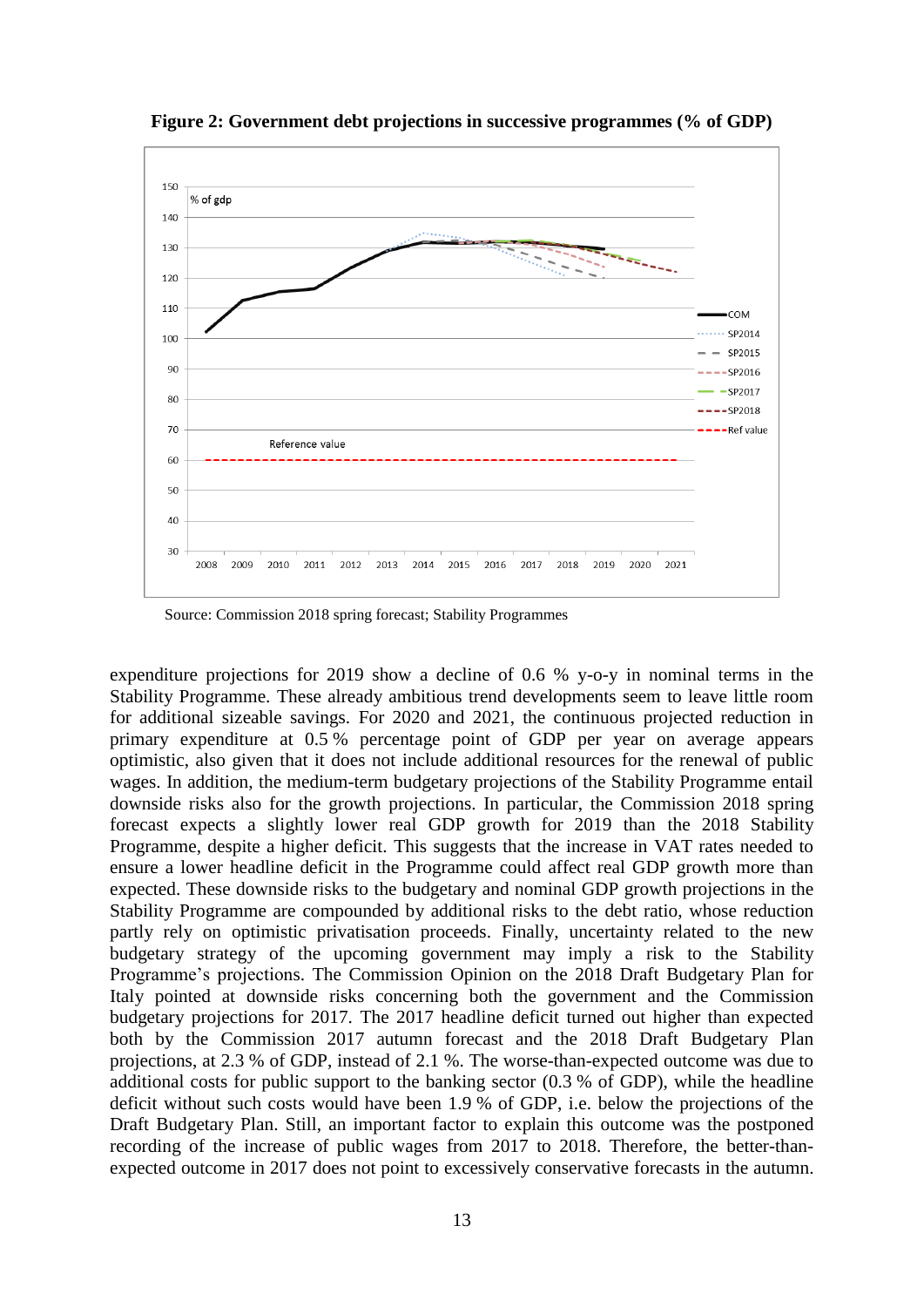

**Figure 2: Government debt projections in successive programmes (% of GDP)** 

Source: Commission 2018 spring forecast; Stability Programmes

expenditure projections for 2019 show a decline of 0.6 % y-o-y in nominal terms in the Stability Programme. These already ambitious trend developments seem to leave little room for additional sizeable savings. For 2020 and 2021, the continuous projected reduction in primary expenditure at 0.5 % percentage point of GDP per year on average appears optimistic, also given that it does not include additional resources for the renewal of public wages. In addition, the medium-term budgetary projections of the Stability Programme entail downside risks also for the growth projections. In particular, the Commission 2018 spring forecast expects a slightly lower real GDP growth for 2019 than the 2018 Stability Programme, despite a higher deficit. This suggests that the increase in VAT rates needed to ensure a lower headline deficit in the Programme could affect real GDP growth more than expected. These downside risks to the budgetary and nominal GDP growth projections in the Stability Programme are compounded by additional risks to the debt ratio, whose reduction partly rely on optimistic privatisation proceeds. Finally, uncertainty related to the new budgetary strategy of the upcoming government may imply a risk to the Stability Programme's projections. The Commission Opinion on the 2018 Draft Budgetary Plan for Italy pointed at downside risks concerning both the government and the Commission budgetary projections for 2017. The 2017 headline deficit turned out higher than expected both by the Commission 2017 autumn forecast and the 2018 Draft Budgetary Plan projections, at 2.3 % of GDP, instead of 2.1 %. The worse-than-expected outcome was due to additional costs for public support to the banking sector (0.3 % of GDP), while the headline deficit without such costs would have been 1.9 % of GDP, i.e. below the projections of the Draft Budgetary Plan. Still, an important factor to explain this outcome was the postponed recording of the increase of public wages from 2017 to 2018. Therefore, the better-thanexpected outcome in 2017 does not point to excessively conservative forecasts in the autumn.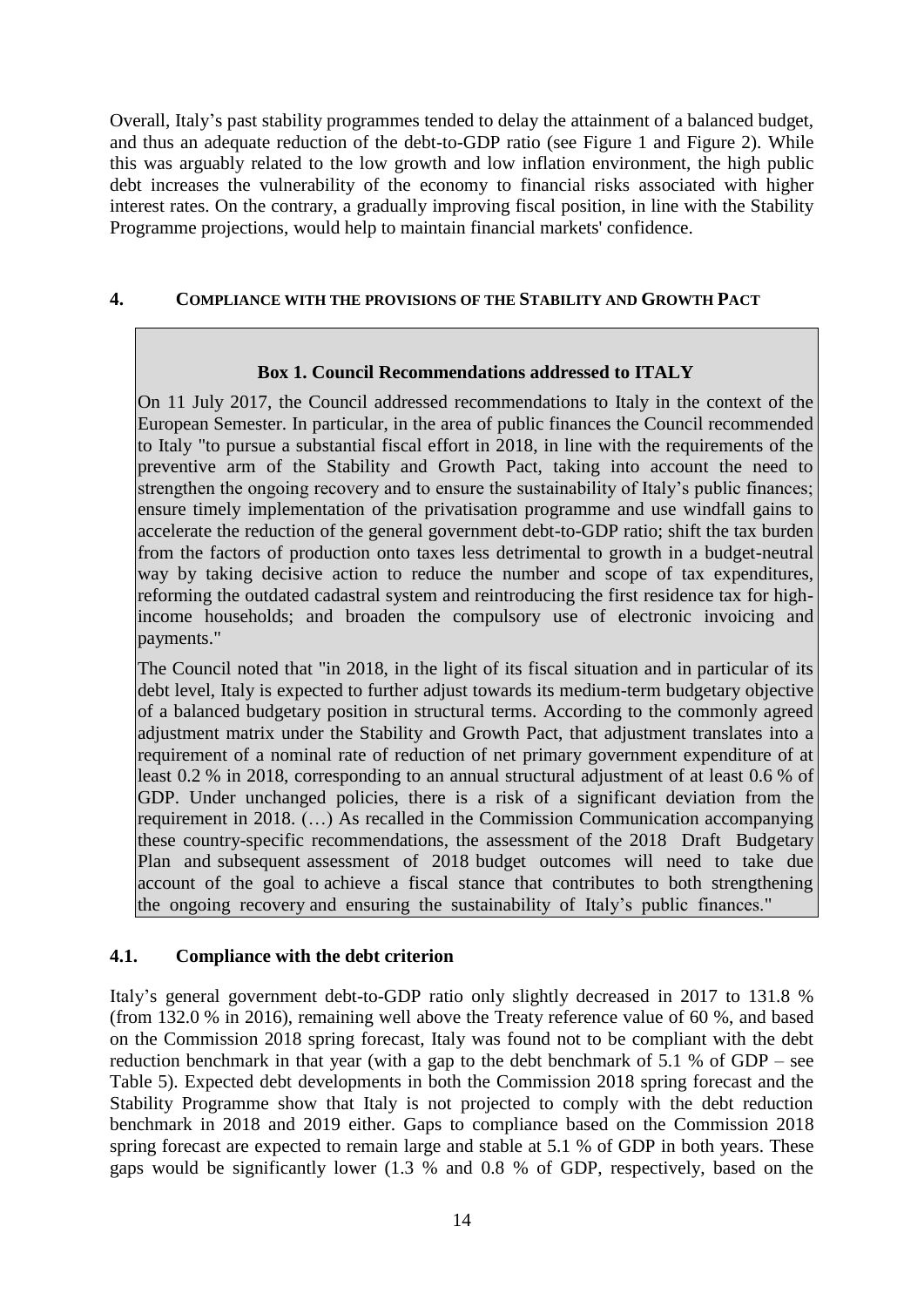Overall, Italy's past stability programmes tended to delay the attainment of a balanced budget, and thus an adequate reduction of the debt-to-GDP ratio (see Figure 1 and Figure 2). While this was arguably related to the low growth and low inflation environment, the high public debt increases the vulnerability of the economy to financial risks associated with higher interest rates. On the contrary, a gradually improving fiscal position, in line with the Stability Programme projections, would help to maintain financial markets' confidence.

### <span id="page-13-0"></span>**4. COMPLIANCE WITH THE PROVISIONS OF THE STABILITY AND GROWTH PACT**

### **Box 1. Council Recommendations addressed to ITALY**

On 11 July 2017, the Council addressed recommendations to Italy in the context of the European Semester. In particular, in the area of public finances the Council recommended to Italy "to pursue a substantial fiscal effort in 2018, in line with the requirements of the preventive arm of the Stability and Growth Pact, taking into account the need to strengthen the ongoing recovery and to ensure the sustainability of Italy's public finances; ensure timely implementation of the privatisation programme and use windfall gains to accelerate the reduction of the general government debt-to-GDP ratio; shift the tax burden from the factors of production onto taxes less detrimental to growth in a budget-neutral way by taking decisive action to reduce the number and scope of tax expenditures, reforming the outdated cadastral system and reintroducing the first residence tax for highincome households; and broaden the compulsory use of electronic invoicing and payments."

The Council noted that "in 2018, in the light of its fiscal situation and in particular of its debt level, Italy is expected to further adjust towards its medium-term budgetary objective of a balanced budgetary position in structural terms. According to the commonly agreed adjustment matrix under the Stability and Growth Pact, that adjustment translates into a requirement of a nominal rate of reduction of net primary government expenditure of at least 0.2 % in 2018, corresponding to an annual structural adjustment of at least 0.6 % of GDP. Under unchanged policies, there is a risk of a significant deviation from the requirement in 2018. (…) As recalled in the Commission Communication accompanying these country-specific recommendations, the assessment of the 2018 Draft Budgetary Plan and subsequent assessment of 2018 budget outcomes will need to take due account of the goal to achieve a fiscal stance that contributes to both strengthening the ongoing recovery and ensuring the sustainability of Italy's public finances."

# <span id="page-13-1"></span>**4.1. Compliance with the debt criterion**

Italy's general government debt-to-GDP ratio only slightly decreased in 2017 to 131.8 % (from 132.0 % in 2016), remaining well above the Treaty reference value of 60 %, and based on the Commission 2018 spring forecast, Italy was found not to be compliant with the debt reduction benchmark in that year (with a gap to the debt benchmark of 5.1 % of GDP – see Table 5). Expected debt developments in both the Commission 2018 spring forecast and the Stability Programme show that Italy is not projected to comply with the debt reduction benchmark in 2018 and 2019 either. Gaps to compliance based on the Commission 2018 spring forecast are expected to remain large and stable at 5.1 % of GDP in both years. These gaps would be significantly lower (1.3 % and 0.8 % of GDP, respectively, based on the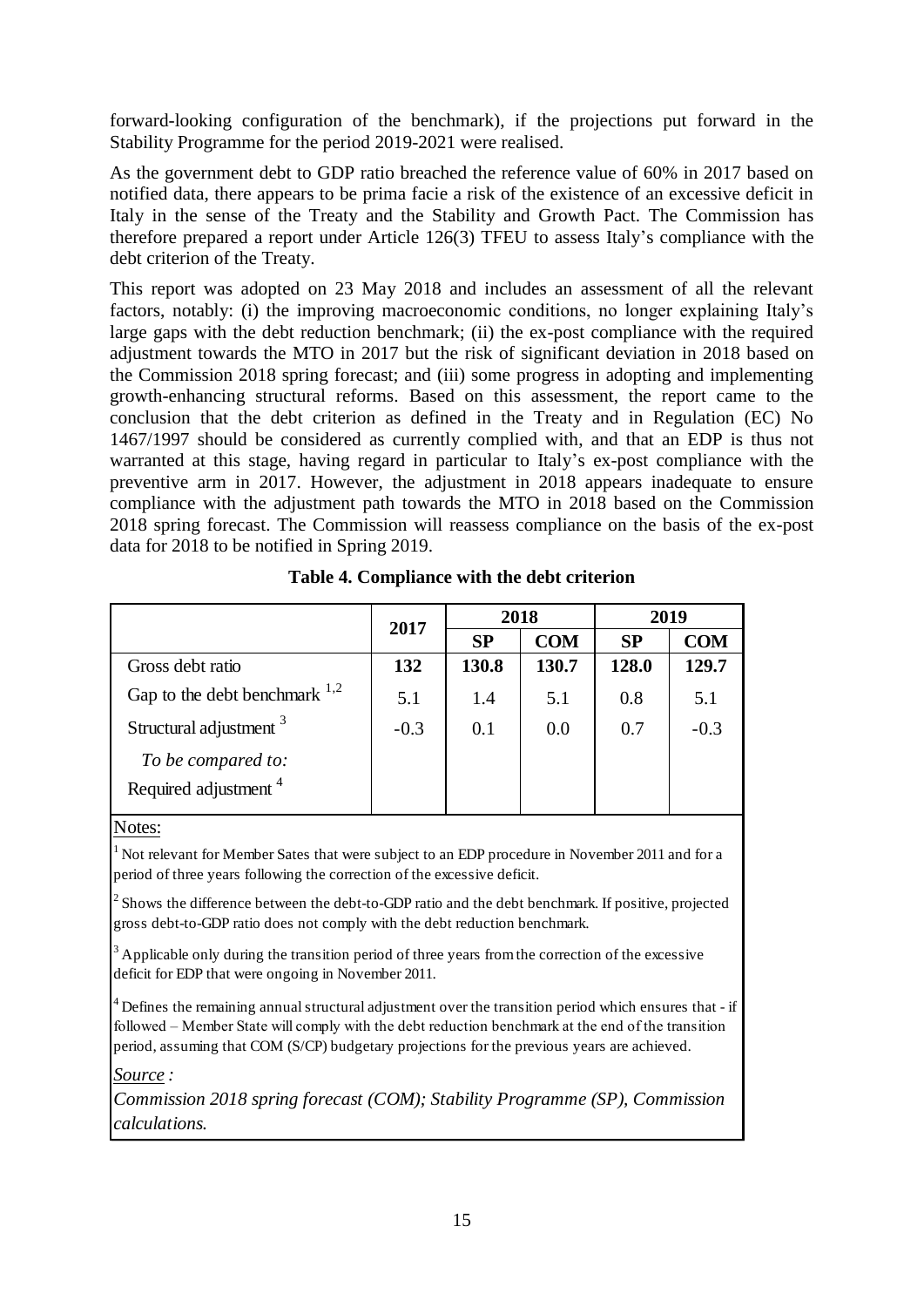forward-looking configuration of the benchmark), if the projections put forward in the Stability Programme for the period 2019-2021 were realised.

As the government debt to GDP ratio breached the reference value of 60% in 2017 based on notified data, there appears to be prima facie a risk of the existence of an excessive deficit in Italy in the sense of the Treaty and the Stability and Growth Pact. The Commission has therefore prepared a report under Article 126(3) TFEU to assess Italy's compliance with the debt criterion of the Treaty.

This report was adopted on 23 May 2018 and includes an assessment of all the relevant factors, notably: (i) the improving macroeconomic conditions, no longer explaining Italy's large gaps with the debt reduction benchmark; (ii) the ex-post compliance with the required adjustment towards the MTO in 2017 but the risk of significant deviation in 2018 based on the Commission 2018 spring forecast; and (iii) some progress in adopting and implementing growth-enhancing structural reforms. Based on this assessment, the report came to the conclusion that the debt criterion as defined in the Treaty and in Regulation (EC) No 1467/1997 should be considered as currently complied with, and that an EDP is thus not warranted at this stage, having regard in particular to Italy's ex-post compliance with the preventive arm in 2017. However, the adjustment in 2018 appears inadequate to ensure compliance with the adjustment path towards the MTO in 2018 based on the Commission 2018 spring forecast. The Commission will reassess compliance on the basis of the ex-post data for 2018 to be notified in Spring 2019.

|                                                        |                              |       | 2018       | 2019      |            |
|--------------------------------------------------------|------------------------------|-------|------------|-----------|------------|
|                                                        | 2017<br>132<br>5.1<br>$-0.3$ | SP    | <b>COM</b> | <b>SP</b> | <b>COM</b> |
| Gross debt ratio                                       |                              | 130.8 | 130.7      | 128.0     | 129.7      |
| Gap to the debt benchmark $^{1,2}$                     |                              | 1.4   | 5.1        | 0.8       | 5.1        |
| Structural adjustment 3                                |                              | 0.1   | 0.0        | 0.7       | $-0.3$     |
| To be compared to:<br>Required adjustment <sup>4</sup> |                              |       |            |           |            |
| Notes:                                                 |                              |       |            |           |            |

**Table 4. Compliance with the debt criterion** 

 $1$  Not relevant for Member Sates that were subject to an EDP procedure in November 2011 and for a period of three years following the correction of the excessive deficit.

 $<sup>2</sup>$  Shows the difference between the debt-to-GDP ratio and the debt benchmark. If positive, projected</sup> gross debt-to-GDP ratio does not comply with the debt reduction benchmark.

<sup>3</sup> Applicable only during the transition period of three years from the correction of the excessive deficit for EDP that were ongoing in November 2011.

 $4$  Defines the remaining annual structural adjustment over the transition period which ensures that - if followed – Member State will comply with the debt reduction benchmark at the end of the transition period, assuming that COM (S/CP) budgetary projections for the previous years are achieved.

*Source :*

*Commission 2018 spring forecast (COM); Stability Programme (SP), Commission calculations.*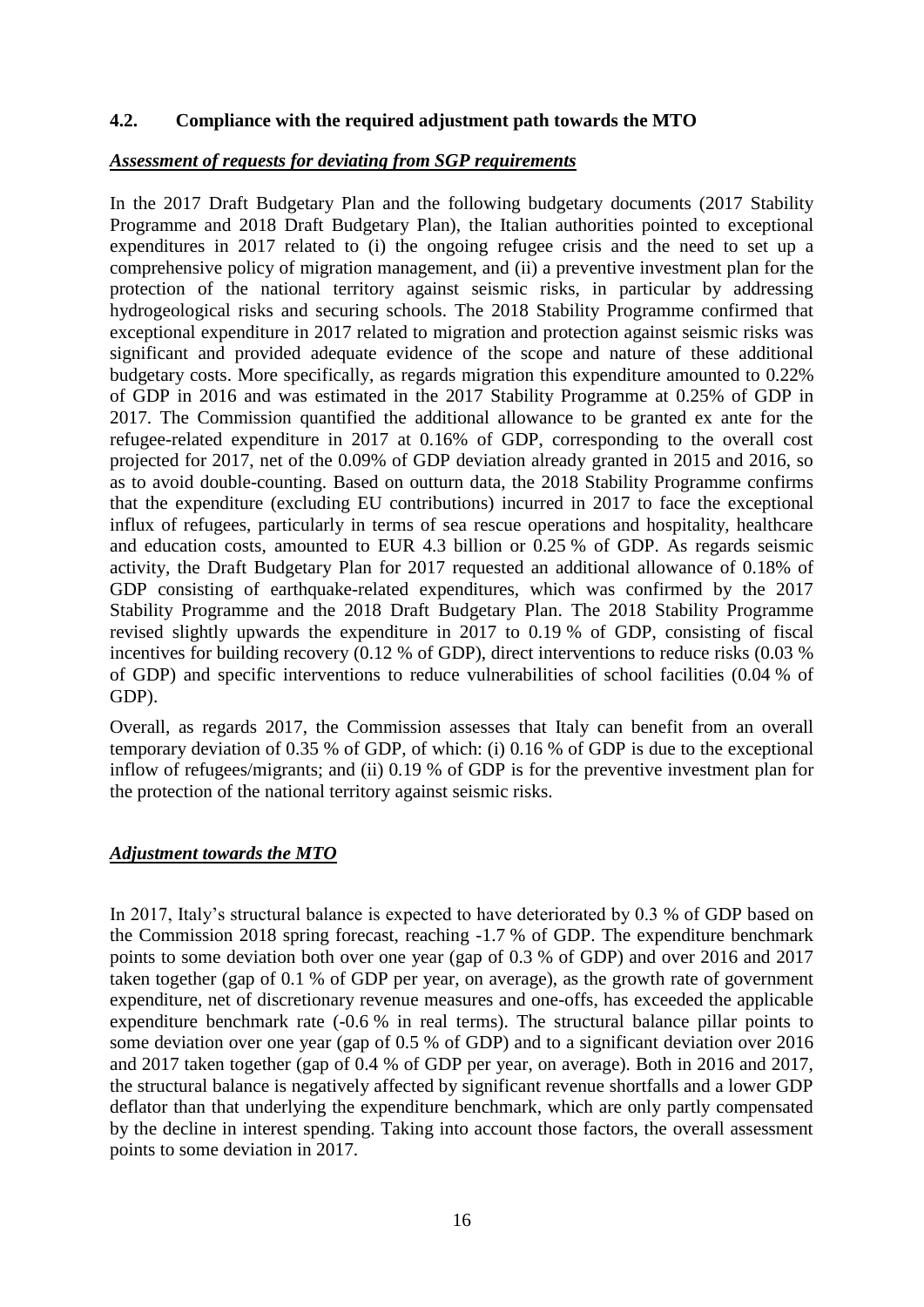#### <span id="page-15-0"></span>**4.2. Compliance with the required adjustment path towards the MTO**

#### *Assessment of requests for deviating from SGP requirements*

In the 2017 Draft Budgetary Plan and the following budgetary documents (2017 Stability Programme and 2018 Draft Budgetary Plan), the Italian authorities pointed to exceptional expenditures in 2017 related to (i) the ongoing refugee crisis and the need to set up a comprehensive policy of migration management, and (ii) a preventive investment plan for the protection of the national territory against seismic risks, in particular by addressing hydrogeological risks and securing schools. The 2018 Stability Programme confirmed that exceptional expenditure in 2017 related to migration and protection against seismic risks was significant and provided adequate evidence of the scope and nature of these additional budgetary costs. More specifically, as regards migration this expenditure amounted to 0.22% of GDP in 2016 and was estimated in the 2017 Stability Programme at 0.25% of GDP in 2017. The Commission quantified the additional allowance to be granted ex ante for the refugee-related expenditure in 2017 at 0.16% of GDP, corresponding to the overall cost projected for 2017, net of the 0.09% of GDP deviation already granted in 2015 and 2016, so as to avoid double-counting. Based on outturn data, the 2018 Stability Programme confirms that the expenditure (excluding EU contributions) incurred in 2017 to face the exceptional influx of refugees, particularly in terms of sea rescue operations and hospitality, healthcare and education costs, amounted to EUR 4.3 billion or 0.25 % of GDP. As regards seismic activity, the Draft Budgetary Plan for 2017 requested an additional allowance of 0.18% of GDP consisting of earthquake-related expenditures, which was confirmed by the 2017 Stability Programme and the 2018 Draft Budgetary Plan. The 2018 Stability Programme revised slightly upwards the expenditure in 2017 to 0.19 % of GDP, consisting of fiscal incentives for building recovery (0.12 % of GDP), direct interventions to reduce risks (0.03 % of GDP) and specific interventions to reduce vulnerabilities of school facilities (0.04 % of GDP).

Overall, as regards 2017, the Commission assesses that Italy can benefit from an overall temporary deviation of 0.35 % of GDP, of which: (i) 0.16 % of GDP is due to the exceptional inflow of refugees/migrants; and (ii) 0.19 % of GDP is for the preventive investment plan for the protection of the national territory against seismic risks.

#### *Adjustment towards the MTO*

In 2017, Italy's structural balance is expected to have deteriorated by 0.3 % of GDP based on the Commission 2018 spring forecast, reaching -1.7 % of GDP. The expenditure benchmark points to some deviation both over one year (gap of 0.3 % of GDP) and over 2016 and 2017 taken together (gap of 0.1 % of GDP per year, on average), as the growth rate of government expenditure, net of discretionary revenue measures and one-offs, has exceeded the applicable expenditure benchmark rate (-0.6 % in real terms). The structural balance pillar points to some deviation over one year (gap of 0.5 % of GDP) and to a significant deviation over 2016 and 2017 taken together (gap of 0.4 % of GDP per year, on average). Both in 2016 and 2017, the structural balance is negatively affected by significant revenue shortfalls and a lower GDP deflator than that underlying the expenditure benchmark, which are only partly compensated by the decline in interest spending. Taking into account those factors, the overall assessment points to some deviation in 2017.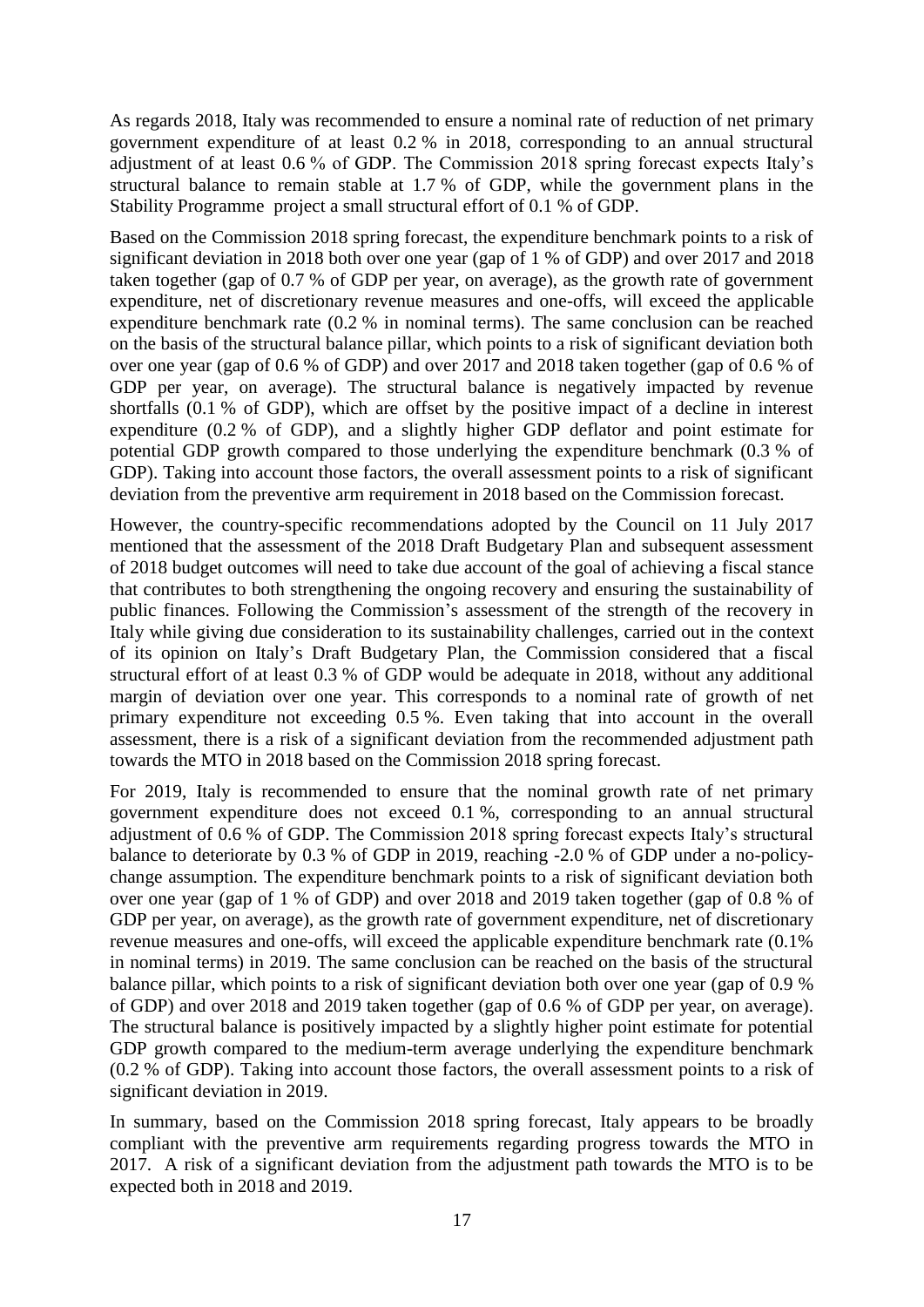As regards 2018, Italy was recommended to ensure a nominal rate of reduction of net primary government expenditure of at least 0.2 % in 2018, corresponding to an annual structural adjustment of at least 0.6 % of GDP. The Commission 2018 spring forecast expects Italy's structural balance to remain stable at 1.7 % of GDP, while the government plans in the Stability Programme project a small structural effort of 0.1 % of GDP.

Based on the Commission 2018 spring forecast, the expenditure benchmark points to a risk of significant deviation in 2018 both over one year (gap of 1 % of GDP) and over 2017 and 2018 taken together (gap of 0.7 % of GDP per year, on average), as the growth rate of government expenditure, net of discretionary revenue measures and one-offs, will exceed the applicable expenditure benchmark rate (0.2 % in nominal terms). The same conclusion can be reached on the basis of the structural balance pillar, which points to a risk of significant deviation both over one year (gap of 0.6 % of GDP) and over 2017 and 2018 taken together (gap of 0.6 % of GDP per year, on average). The structural balance is negatively impacted by revenue shortfalls (0.1 % of GDP), which are offset by the positive impact of a decline in interest expenditure (0.2 % of GDP), and a slightly higher GDP deflator and point estimate for potential GDP growth compared to those underlying the expenditure benchmark (0.3 % of GDP). Taking into account those factors, the overall assessment points to a risk of significant deviation from the preventive arm requirement in 2018 based on the Commission forecast.

However, the country-specific recommendations adopted by the Council on 11 July 2017 mentioned that the assessment of the 2018 Draft Budgetary Plan and subsequent assessment of 2018 budget outcomes will need to take due account of the goal of achieving a fiscal stance that contributes to both strengthening the ongoing recovery and ensuring the sustainability of public finances. Following the Commission's assessment of the strength of the recovery in Italy while giving due consideration to its sustainability challenges, carried out in the context of its opinion on Italy's Draft Budgetary Plan, the Commission considered that a fiscal structural effort of at least 0.3 % of GDP would be adequate in 2018, without any additional margin of deviation over one year. This corresponds to a nominal rate of growth of net primary expenditure not exceeding 0.5 %. Even taking that into account in the overall assessment, there is a risk of a significant deviation from the recommended adjustment path towards the MTO in 2018 based on the Commission 2018 spring forecast.

For 2019, Italy is recommended to ensure that the nominal growth rate of net primary government expenditure does not exceed 0.1 %, corresponding to an annual structural adjustment of 0.6 % of GDP. The Commission 2018 spring forecast expects Italy's structural balance to deteriorate by 0.3 % of GDP in 2019, reaching -2.0 % of GDP under a no-policychange assumption. The expenditure benchmark points to a risk of significant deviation both over one year (gap of 1 % of GDP) and over 2018 and 2019 taken together (gap of 0.8 % of GDP per year, on average), as the growth rate of government expenditure, net of discretionary revenue measures and one-offs, will exceed the applicable expenditure benchmark rate (0.1% in nominal terms) in 2019. The same conclusion can be reached on the basis of the structural balance pillar, which points to a risk of significant deviation both over one year (gap of 0.9 % of GDP) and over 2018 and 2019 taken together (gap of 0.6 % of GDP per year, on average). The structural balance is positively impacted by a slightly higher point estimate for potential GDP growth compared to the medium-term average underlying the expenditure benchmark (0.2 % of GDP). Taking into account those factors, the overall assessment points to a risk of significant deviation in 2019.

In summary, based on the Commission 2018 spring forecast, Italy appears to be broadly compliant with the preventive arm requirements regarding progress towards the MTO in 2017. A risk of a significant deviation from the adjustment path towards the MTO is to be expected both in 2018 and 2019.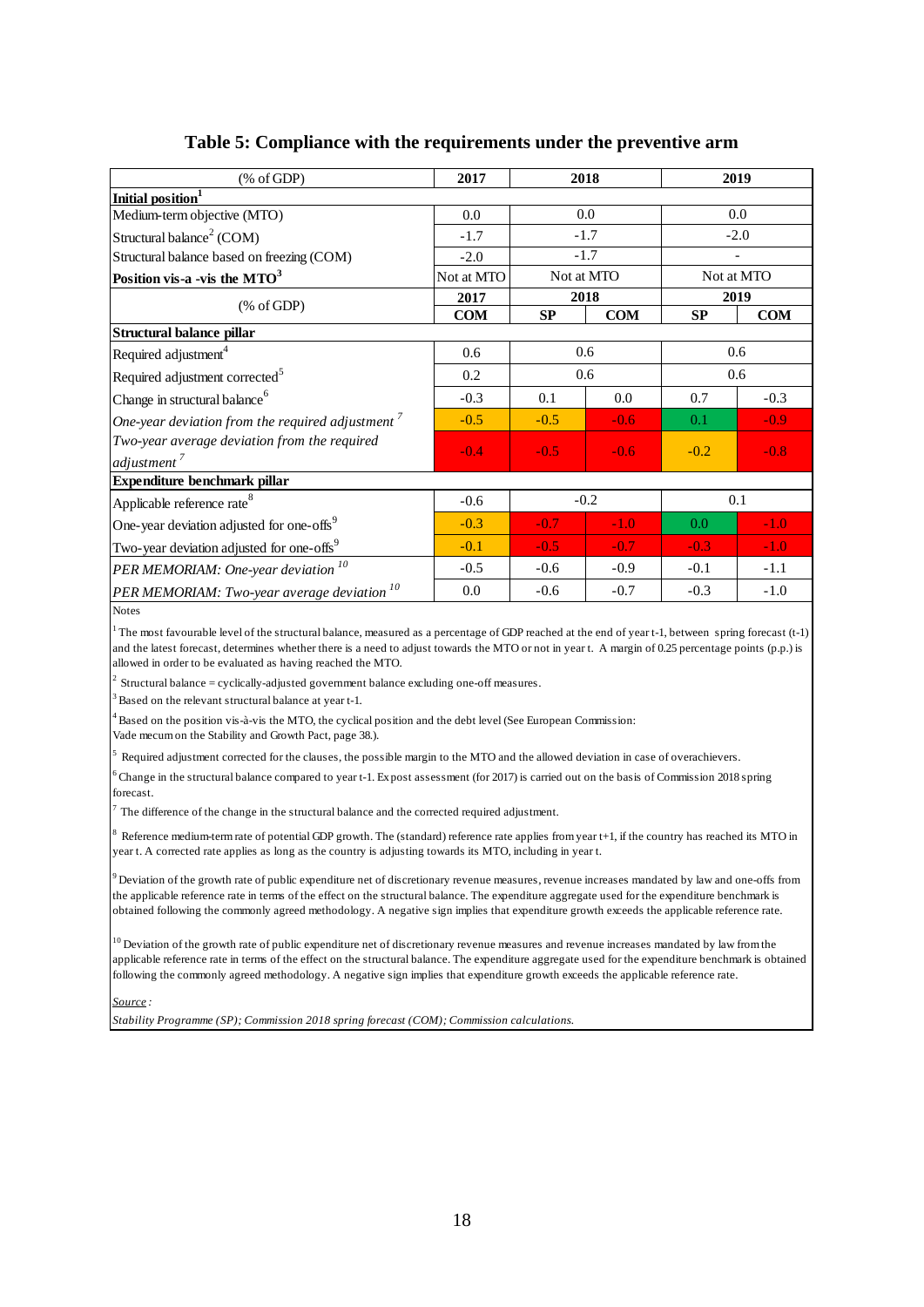| $(% \mathcal{L}_{0}^{\ast }\otimes \mathcal{L}_{1})$ (% of GDP) | 2017       |        | 2018       |           | 2019                     |  |  |
|-----------------------------------------------------------------|------------|--------|------------|-----------|--------------------------|--|--|
| Initial position <sup>1</sup>                                   |            |        |            |           |                          |  |  |
| Medium-term objective (MTO)                                     | 0.0        | 0.0    |            | 0.0       |                          |  |  |
| Structural balance <sup>2</sup> (COM)                           | $-1.7$     |        | $-1.7$     |           | $-2.0$                   |  |  |
| Structural balance based on freezing (COM)                      | $-2.0$     |        | $-1.7$     |           | $\overline{\phantom{0}}$ |  |  |
| Position vis-a -vis the $MTO3$                                  | Not at MTO |        | Not at MTO |           | Not at MTO               |  |  |
|                                                                 | 2017       |        | 2018       |           | 2019                     |  |  |
| % of GDP                                                        | <b>COM</b> | SP     | <b>COM</b> | <b>SP</b> | <b>COM</b>               |  |  |
| Structural balance pillar                                       |            |        |            |           |                          |  |  |
| Required adjustment <sup>4</sup>                                | 0.6        |        | 0.6        |           | 0.6                      |  |  |
| Required adjustment corrected <sup>5</sup>                      | 0.2        | 0.6    |            | 0.6       |                          |  |  |
| Change in structural balance <sup>6</sup>                       | $-0.3$     | 0.1    | 0.0        | 0.7       | $-0.3$                   |  |  |
| One-year deviation from the required adjustment $\sqrt{ }$      | $-0.5$     | $-0.5$ | $-0.6$     | 0.1       | $-0.9$                   |  |  |
| Two-year average deviation from the required                    | $-0.4$     | $-0.5$ | $-0.6$     | $-0.2$    | $-0.8$                   |  |  |
| adjustment <sup>7</sup>                                         |            |        |            |           |                          |  |  |
| Expenditure benchmark pillar                                    |            |        |            |           |                          |  |  |
| Applicable reference rate <sup>8</sup>                          | $-0.6$     |        | $-0.2$     |           | 0.1                      |  |  |
| One-year deviation adjusted for one-offs <sup>9</sup>           | $-0.3$     | $-0.7$ | $-1.0$     | 0.0       | $-1.0$                   |  |  |
| Two-year deviation adjusted for one-offs <sup>9</sup>           | $-0.1$     | $-0.5$ | $-0.7$     | $-0.3$    | $-1.0$                   |  |  |
| PER MEMORIAM: One-year deviation <sup>10</sup>                  | $-0.5$     | $-0.6$ | $-0.9$     | $-0.1$    | $-1.1$                   |  |  |
| PER MEMORIAM: Two-year average deviation <sup>10</sup>          | 0.0        | $-0.6$ | $-0.7$     | $-0.3$    | $-1.0$                   |  |  |
| <b>Notes</b>                                                    |            |        |            |           |                          |  |  |

#### **Table 5: Compliance with the requirements under the preventive arm**

1 The most favourable level of the structural balance, measured as a percentage of GDP reached at the end of year t-1, between spring forecast (t-1) and the latest forecast, determines whether there is a need to adjust towards the MTO or not in year t. A margin of 0.25 percentage points (p.p.) is allowed in order to be evaluated as having reached the MTO. and the latest forecast, determines whether there is a<br>allowed in order to be evaluated as having reached the<br> $^2$  Structural balance = cyclically-adjusted governmen<br> $^3$  Based on the relevant structural balance at year t

<sup>2</sup> Structural balance = cyclically-adjusted government balance excluding one-off measures.

<sup>4</sup> Based on the position vis-à-vis the MTO, the cyclical position and the debt level (See European Commission:

Vade mecum on the Stability and Growth Pact, page 38.).

<sup>5</sup> Based on the relevant structural balance at year t-1.<br><sup>4</sup> Based on the position vis-à-vis the MTO, the cyclical position and the debt level (See European Commission:<br><sup>5</sup> Required adjustment corrected for the clauses, t

<sup>5</sup> Change in the structural balance compared to year t-1. Expost assessment (for 2017) is carried out on the basis of Commission 2018 spring forecast.

The difference of the change in the structural balance and the corrected required adjustment.

<sup>8</sup> Reference medium-term rate of potential GDP growth. The (standard) reference rate applies from year t+1, if the country has reached its MTO in year t. A corrected rate applies as long as the country is adjusting towar Forecast.<br>
<sup>7</sup> The difference of the change in the structural balance and the corrected required adjustment.<br>
<sup>8</sup> Reference medium-term rate of potential GDP growth. The (standard) reference rate applies from year t+1, if year t. A corrected rate applies as long as the country is adjusting towards its MTO, including in year t.

the applicable reference rate in terms of the effect on the structural balance. The expenditure aggregate used for the expenditure benchmark is obtained following the commonly agreed methodology. A negative sign implies that expenditure growth exceeds the applicable reference rate.

 $10$  Deviation of the growth rate of public expenditure net of discretionary revenue measures and revenue increases mandated by law from the applicable reference rate in terms of the effect on the structural balance. The expenditure aggregate used for the expenditure benchmark is obtained following the commonly agreed methodology. A negative sign implies that expenditure growth exceeds the applicable reference rate.

*Source :*

*Stability Programme (SP); Commission 2018 spring forecast (COM); Commission calculations.*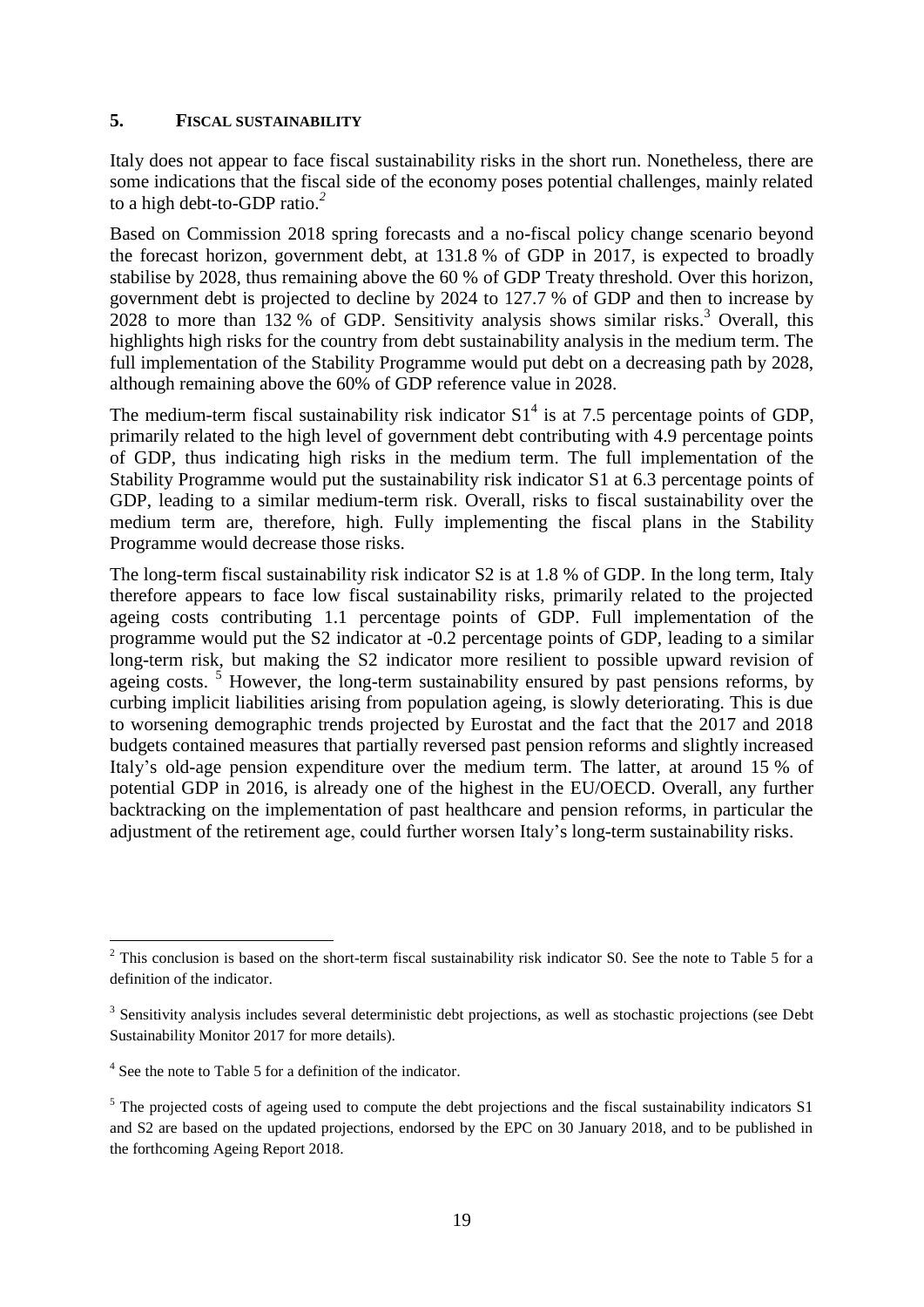#### <span id="page-18-0"></span>**5. FISCAL SUSTAINABILITY**

Italy does not appear to face fiscal sustainability risks in the short run. Nonetheless, there are some indications that the fiscal side of the economy poses potential challenges, mainly related to a high debt-to-GDP ratio.*<sup>2</sup>*

Based on Commission 2018 spring forecasts and a no-fiscal policy change scenario beyond the forecast horizon, government debt, at 131.8 % of GDP in 2017, is expected to broadly stabilise by 2028, thus remaining above the 60 % of GDP Treaty threshold. Over this horizon, government debt is projected to decline by 2024 to 127.7 % of GDP and then to increase by 2028 to more than 132 % of GDP. Sensitivity analysis shows similar risks.<sup>3</sup> Overall, this highlights high risks for the country from debt sustainability analysis in the medium term. The full implementation of the Stability Programme would put debt on a decreasing path by 2028, although remaining above the 60% of GDP reference value in 2028.

The medium-term fiscal sustainability risk indicator  $S1<sup>4</sup>$  is at 7.5 percentage points of GDP, primarily related to the high level of government debt contributing with 4.9 percentage points of GDP, thus indicating high risks in the medium term. The full implementation of the Stability Programme would put the sustainability risk indicator S1 at 6.3 percentage points of GDP, leading to a similar medium-term risk. Overall, risks to fiscal sustainability over the medium term are, therefore, high. Fully implementing the fiscal plans in the Stability Programme would decrease those risks.

The long-term fiscal sustainability risk indicator S2 is at 1.8 % of GDP. In the long term, Italy therefore appears to face low fiscal sustainability risks, primarily related to the projected ageing costs contributing 1.1 percentage points of GDP. Full implementation of the programme would put the S2 indicator at -0.2 percentage points of GDP, leading to a similar long-term risk, but making the S2 indicator more resilient to possible upward revision of ageing costs.<sup>5</sup> However, the long-term sustainability ensured by past pensions reforms, by curbing implicit liabilities arising from population ageing, is slowly deteriorating. This is due to worsening demographic trends projected by Eurostat and the fact that the 2017 and 2018 budgets contained measures that partially reversed past pension reforms and slightly increased Italy's old-age pension expenditure over the medium term. The latter, at around 15 % of potential GDP in 2016, is already one of the highest in the EU/OECD. Overall, any further backtracking on the implementation of past healthcare and pension reforms, in particular the adjustment of the retirement age, could further worsen Italy's long-term sustainability risks.

1

 $2$  This conclusion is based on the short-term fiscal sustainability risk indicator S0. See the note to Table 5 for a definition of the indicator.

<sup>&</sup>lt;sup>3</sup> Sensitivity analysis includes several deterministic debt projections, as well as stochastic projections (see Debt Sustainability Monitor 2017 for more details).

<sup>&</sup>lt;sup>4</sup> See the note to Table 5 for a definition of the indicator.

<sup>&</sup>lt;sup>5</sup> The projected costs of ageing used to compute the debt projections and the fiscal sustainability indicators S1 and S2 are based on the updated projections, endorsed by the EPC on 30 January 2018, and to be published in the forthcoming Ageing Report 2018.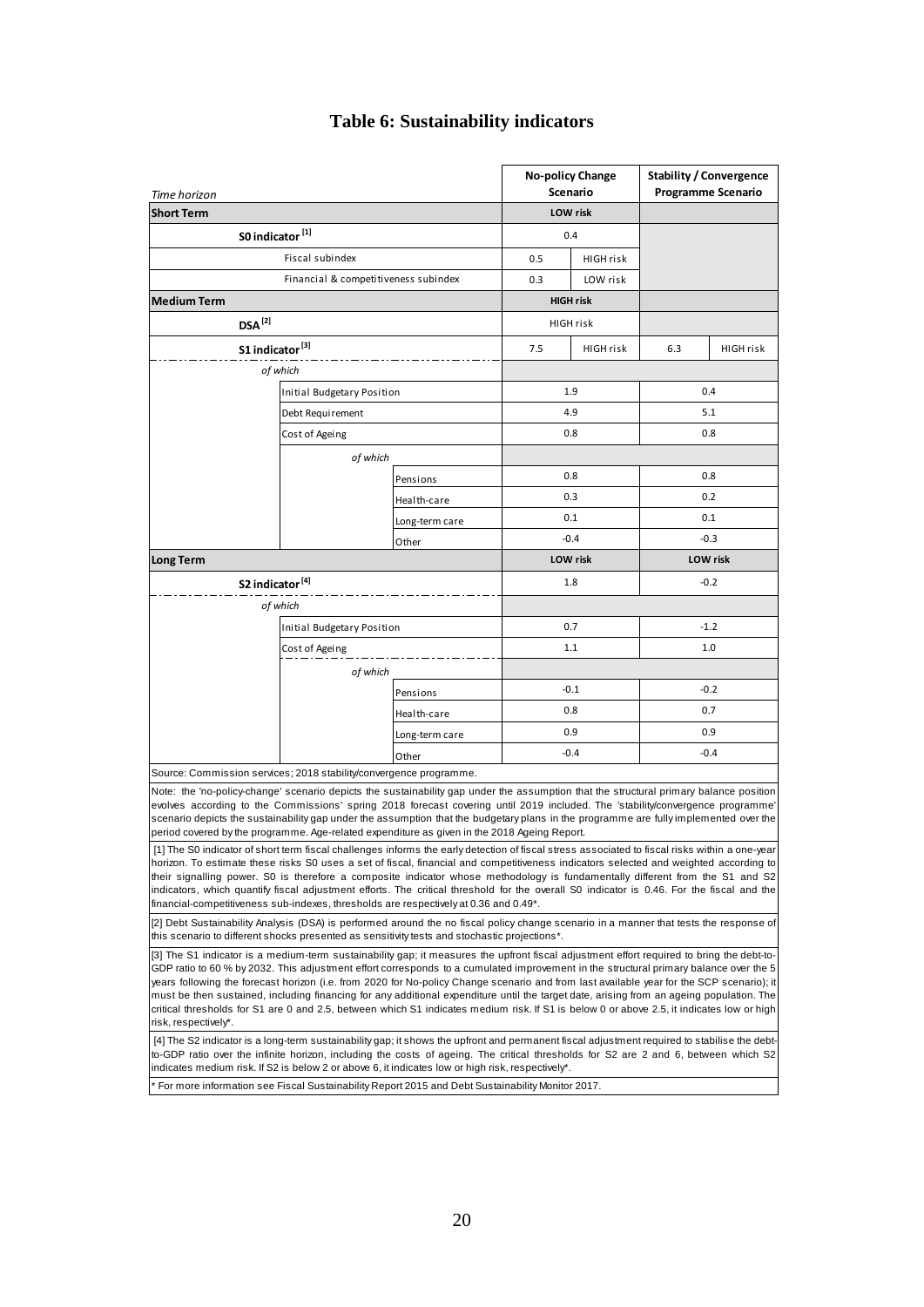| Time horizon                                                                                                                                                                                                                                                                                                                                                                                                                                                                                                                                                                                                                                                                                                                                                                                                                                                                                     |                                      |                |                 | <b>No-policy Change</b><br><b>Scenario</b> | <b>Stability / Convergence</b><br><b>Programme Scenario</b> |           |  |
|--------------------------------------------------------------------------------------------------------------------------------------------------------------------------------------------------------------------------------------------------------------------------------------------------------------------------------------------------------------------------------------------------------------------------------------------------------------------------------------------------------------------------------------------------------------------------------------------------------------------------------------------------------------------------------------------------------------------------------------------------------------------------------------------------------------------------------------------------------------------------------------------------|--------------------------------------|----------------|-----------------|--------------------------------------------|-------------------------------------------------------------|-----------|--|
| <b>Short Term</b>                                                                                                                                                                                                                                                                                                                                                                                                                                                                                                                                                                                                                                                                                                                                                                                                                                                                                |                                      |                |                 | <b>LOW</b> risk                            |                                                             |           |  |
| S0 indicator <sup>[1]</sup>                                                                                                                                                                                                                                                                                                                                                                                                                                                                                                                                                                                                                                                                                                                                                                                                                                                                      |                                      |                |                 | 0.4                                        |                                                             |           |  |
|                                                                                                                                                                                                                                                                                                                                                                                                                                                                                                                                                                                                                                                                                                                                                                                                                                                                                                  | Fiscal subindex                      |                | 0.5             | <b>HIGH risk</b>                           |                                                             |           |  |
|                                                                                                                                                                                                                                                                                                                                                                                                                                                                                                                                                                                                                                                                                                                                                                                                                                                                                                  | Financial & competitiveness subindex |                | 0.3             | LOW risk                                   |                                                             |           |  |
| <b>Medium Term</b>                                                                                                                                                                                                                                                                                                                                                                                                                                                                                                                                                                                                                                                                                                                                                                                                                                                                               |                                      |                |                 | <b>HIGH risk</b>                           |                                                             |           |  |
| $DSA^{[2]}$                                                                                                                                                                                                                                                                                                                                                                                                                                                                                                                                                                                                                                                                                                                                                                                                                                                                                      |                                      |                |                 | <b>HIGH risk</b>                           |                                                             |           |  |
| S1 indicator <sup>[3]</sup>                                                                                                                                                                                                                                                                                                                                                                                                                                                                                                                                                                                                                                                                                                                                                                                                                                                                      |                                      |                | 7.5             | HIGH risk                                  | 6.3                                                         | HIGH risk |  |
|                                                                                                                                                                                                                                                                                                                                                                                                                                                                                                                                                                                                                                                                                                                                                                                                                                                                                                  | of which                             |                |                 |                                            |                                                             |           |  |
|                                                                                                                                                                                                                                                                                                                                                                                                                                                                                                                                                                                                                                                                                                                                                                                                                                                                                                  | Initial Budgetary Position           |                |                 | 1.9                                        | 0.4                                                         |           |  |
|                                                                                                                                                                                                                                                                                                                                                                                                                                                                                                                                                                                                                                                                                                                                                                                                                                                                                                  | Debt Requirement                     |                |                 | 4.9                                        | 5.1                                                         |           |  |
|                                                                                                                                                                                                                                                                                                                                                                                                                                                                                                                                                                                                                                                                                                                                                                                                                                                                                                  |                                      |                | 0.8             | 0.8                                        |                                                             |           |  |
| Cost of Ageing                                                                                                                                                                                                                                                                                                                                                                                                                                                                                                                                                                                                                                                                                                                                                                                                                                                                                   |                                      |                |                 |                                            |                                                             |           |  |
|                                                                                                                                                                                                                                                                                                                                                                                                                                                                                                                                                                                                                                                                                                                                                                                                                                                                                                  | of which                             |                |                 |                                            |                                                             |           |  |
|                                                                                                                                                                                                                                                                                                                                                                                                                                                                                                                                                                                                                                                                                                                                                                                                                                                                                                  |                                      | Pensions       |                 | 0.8                                        | 0.8                                                         |           |  |
|                                                                                                                                                                                                                                                                                                                                                                                                                                                                                                                                                                                                                                                                                                                                                                                                                                                                                                  |                                      | Health-care    |                 | 0.3                                        | 0.2                                                         |           |  |
|                                                                                                                                                                                                                                                                                                                                                                                                                                                                                                                                                                                                                                                                                                                                                                                                                                                                                                  |                                      | Long-term care |                 | 0.1                                        | 0.1                                                         |           |  |
|                                                                                                                                                                                                                                                                                                                                                                                                                                                                                                                                                                                                                                                                                                                                                                                                                                                                                                  | Other                                |                |                 | $-0.4$                                     | $-0.3$                                                      |           |  |
| <b>Long Term</b>                                                                                                                                                                                                                                                                                                                                                                                                                                                                                                                                                                                                                                                                                                                                                                                                                                                                                 |                                      |                | <b>LOW risk</b> |                                            | <b>LOW risk</b>                                             |           |  |
| S2 indicator <sup>[4]</sup>                                                                                                                                                                                                                                                                                                                                                                                                                                                                                                                                                                                                                                                                                                                                                                                                                                                                      |                                      |                |                 | 1.8                                        | $-0.2$                                                      |           |  |
|                                                                                                                                                                                                                                                                                                                                                                                                                                                                                                                                                                                                                                                                                                                                                                                                                                                                                                  | of which                             |                |                 |                                            |                                                             |           |  |
|                                                                                                                                                                                                                                                                                                                                                                                                                                                                                                                                                                                                                                                                                                                                                                                                                                                                                                  | Initial Budgetary Position           |                |                 | 0.7                                        | $-1.2$                                                      |           |  |
|                                                                                                                                                                                                                                                                                                                                                                                                                                                                                                                                                                                                                                                                                                                                                                                                                                                                                                  | Cost of Ageing                       |                |                 | 1.1                                        | 1.0                                                         |           |  |
|                                                                                                                                                                                                                                                                                                                                                                                                                                                                                                                                                                                                                                                                                                                                                                                                                                                                                                  | of which                             |                |                 |                                            |                                                             |           |  |
|                                                                                                                                                                                                                                                                                                                                                                                                                                                                                                                                                                                                                                                                                                                                                                                                                                                                                                  |                                      | Pensions       |                 | $-0.1$                                     | $-0.2$                                                      |           |  |
|                                                                                                                                                                                                                                                                                                                                                                                                                                                                                                                                                                                                                                                                                                                                                                                                                                                                                                  |                                      | Health-care    |                 | 0.8                                        | 0.7                                                         |           |  |
|                                                                                                                                                                                                                                                                                                                                                                                                                                                                                                                                                                                                                                                                                                                                                                                                                                                                                                  |                                      | Long-term care | 0.9             |                                            | 0.9                                                         |           |  |
|                                                                                                                                                                                                                                                                                                                                                                                                                                                                                                                                                                                                                                                                                                                                                                                                                                                                                                  |                                      | Other          |                 | $-0.4$                                     | -0.4                                                        |           |  |
| Source: Commission services; 2018 stability/convergence programme.                                                                                                                                                                                                                                                                                                                                                                                                                                                                                                                                                                                                                                                                                                                                                                                                                               |                                      |                |                 |                                            |                                                             |           |  |
| Note: the 'no-policy-change' scenario depicts the sustainability gap under the assumption that the structural primary balance position<br>evolves according to the Commissions' spring 2018 forecast covering until 2019 included. The 'stability/convergence programme'<br>scenario depicts the sustainability gap under the assumption that the budgetary plans in the programme are fully implemented over the<br>period covered by the programme. Age-related expenditure as given in the 2018 Ageing Report.                                                                                                                                                                                                                                                                                                                                                                                |                                      |                |                 |                                            |                                                             |           |  |
| [1] The S0 indicator of short term fiscal challenges informs the early detection of fiscal stress associated to fiscal risks within a one-year<br>horizon. To estimate these risks S0 uses a set of fiscal, financial and competitiveness indicators selected and weighted according to<br>their signalling power. S0 is therefore a composite indicator whose methodology is fundamentally different from the S1 and S2<br>indicators, which quantify fiscal adjustment efforts. The critical threshold for the overall S0 indicator is 0.46. For the fiscal and the<br>financial-competitiveness sub-indexes, thresholds are respectively at 0.36 and 0.49 <sup>*</sup> .                                                                                                                                                                                                                      |                                      |                |                 |                                            |                                                             |           |  |
| [2] Debt Sustainability Analysis (DSA) is performed around the no fiscal policy change scenario in a manner that tests the response of<br>this scenario to different shocks presented as sensitivity tests and stochastic projections*.                                                                                                                                                                                                                                                                                                                                                                                                                                                                                                                                                                                                                                                          |                                      |                |                 |                                            |                                                             |           |  |
| [3] The S1 indicator is a medium-term sustainability gap; it measures the upfront fiscal adjustment effort required to bring the debt-to-<br>GDP ratio to 60 % by 2032. This adjustment effort corresponds to a cumulated improvement in the structural primary balance over the 5<br>years following the forecast horizon (i.e. from 2020 for No-policy Change scenario and from last available year for the SCP scenario); it<br>must be then sustained, including financing for any additional expenditure until the target date, arising from an ageing population. The<br>critical thresholds for S1 are 0 and 2.5, between which S1 indicates medium risk. If S1 is below 0 or above 2.5, it indicates low or high<br>risk, respectively*.<br>[4] The S2 indicator is a long-term sustainability gap; it shows the upfront and permanent fiscal adjustment required to stabilise the debt- |                                      |                |                 |                                            |                                                             |           |  |
| to-GDP ratio over the infinite horizon, including the costs of ageing. The critical thresholds for S2 are 2 and 6, between which S2<br>indicates medium risk. If S2 is below 2 or above 6, it indicates low or high risk, respectively*.                                                                                                                                                                                                                                                                                                                                                                                                                                                                                                                                                                                                                                                         |                                      |                |                 |                                            |                                                             |           |  |
| For more information see Fiscal Sustainability Report 2015 and Debt Sustainability Monitor 2017.                                                                                                                                                                                                                                                                                                                                                                                                                                                                                                                                                                                                                                                                                                                                                                                                 |                                      |                |                 |                                            |                                                             |           |  |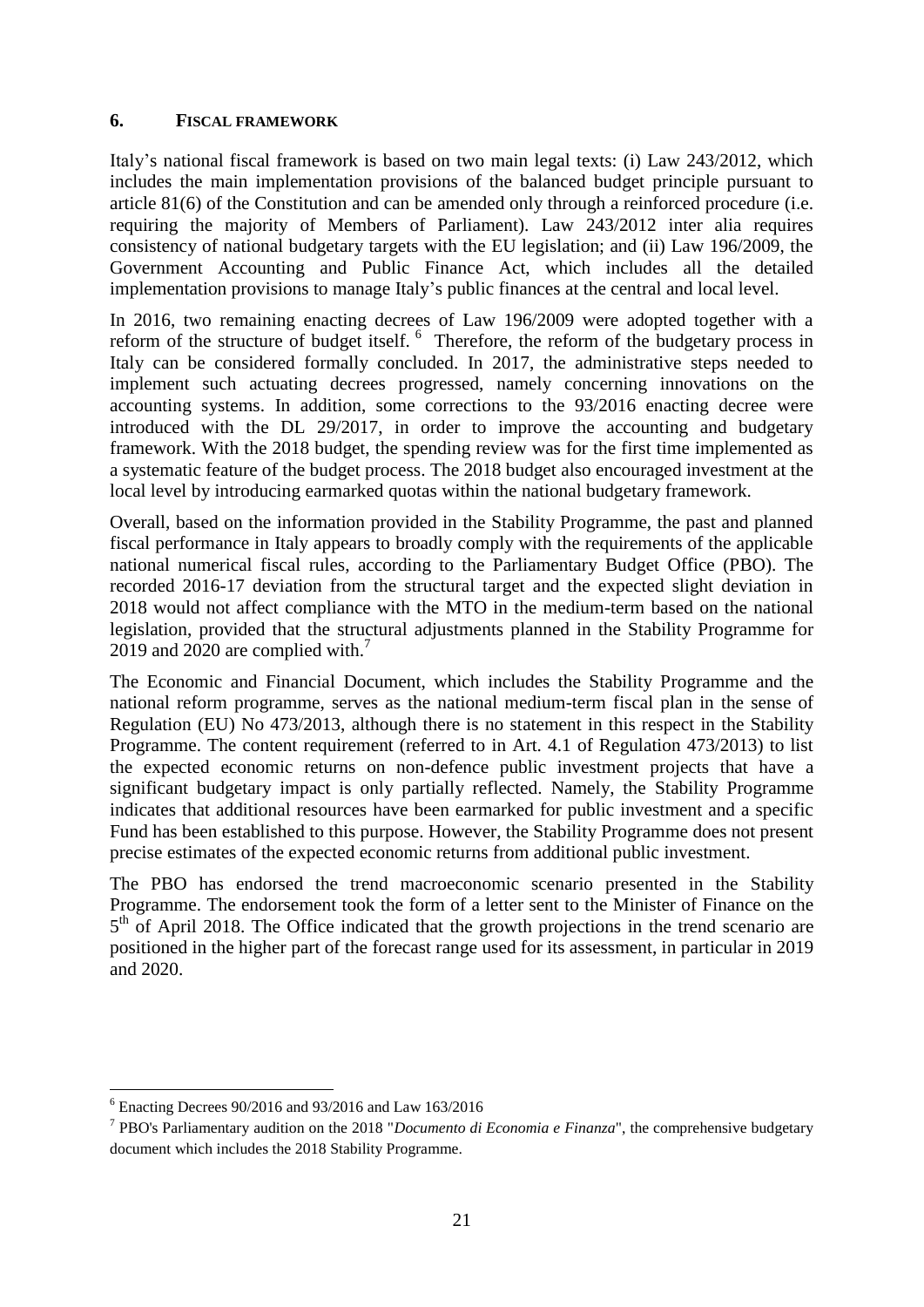### <span id="page-20-0"></span>**6. FISCAL FRAMEWORK**

Italy's national fiscal framework is based on two main legal texts: (i) Law 243/2012, which includes the main implementation provisions of the balanced budget principle pursuant to article 81(6) of the Constitution and can be amended only through a reinforced procedure (i.e. requiring the majority of Members of Parliament). Law 243/2012 inter alia requires consistency of national budgetary targets with the EU legislation; and (ii) Law 196/2009, the Government Accounting and Public Finance Act, which includes all the detailed implementation provisions to manage Italy's public finances at the central and local level.

In 2016, two remaining enacting decrees of Law 196/2009 were adopted together with a reform of the structure of budget itself. <sup>6</sup> Therefore, the reform of the budgetary process in Italy can be considered formally concluded. In 2017, the administrative steps needed to implement such actuating decrees progressed, namely concerning innovations on the accounting systems. In addition, some corrections to the 93/2016 enacting decree were introduced with the DL 29/2017, in order to improve the accounting and budgetary framework. With the 2018 budget, the spending review was for the first time implemented as a systematic feature of the budget process. The 2018 budget also encouraged investment at the local level by introducing earmarked quotas within the national budgetary framework.

Overall, based on the information provided in the Stability Programme, the past and planned fiscal performance in Italy appears to broadly comply with the requirements of the applicable national numerical fiscal rules, according to the Parliamentary Budget Office (PBO). The recorded 2016-17 deviation from the structural target and the expected slight deviation in 2018 would not affect compliance with the MTO in the medium-term based on the national legislation, provided that the structural adjustments planned in the Stability Programme for 2019 and 2020 are complied with.<sup>7</sup>

The Economic and Financial Document, which includes the Stability Programme and the national reform programme, serves as the national medium-term fiscal plan in the sense of Regulation (EU) No 473/2013, although there is no statement in this respect in the Stability Programme. The content requirement (referred to in Art. 4.1 of Regulation 473/2013) to list the expected economic returns on non-defence public investment projects that have a significant budgetary impact is only partially reflected. Namely, the Stability Programme indicates that additional resources have been earmarked for public investment and a specific Fund has been established to this purpose. However, the Stability Programme does not present precise estimates of the expected economic returns from additional public investment.

The PBO has endorsed the trend macroeconomic scenario presented in the Stability Programme. The endorsement took the form of a letter sent to the Minister of Finance on the 5<sup>th</sup> of April 2018. The Office indicated that the growth projections in the trend scenario are positioned in the higher part of the forecast range used for its assessment, in particular in 2019 and 2020.

<sup>1</sup>  $6$  Enacting Decrees 90/2016 and 93/2016 and Law 163/2016

<sup>7</sup> PBO's Parliamentary audition on the 2018 "*Documento di Economia e Finanza*", the comprehensive budgetary document which includes the 2018 Stability Programme.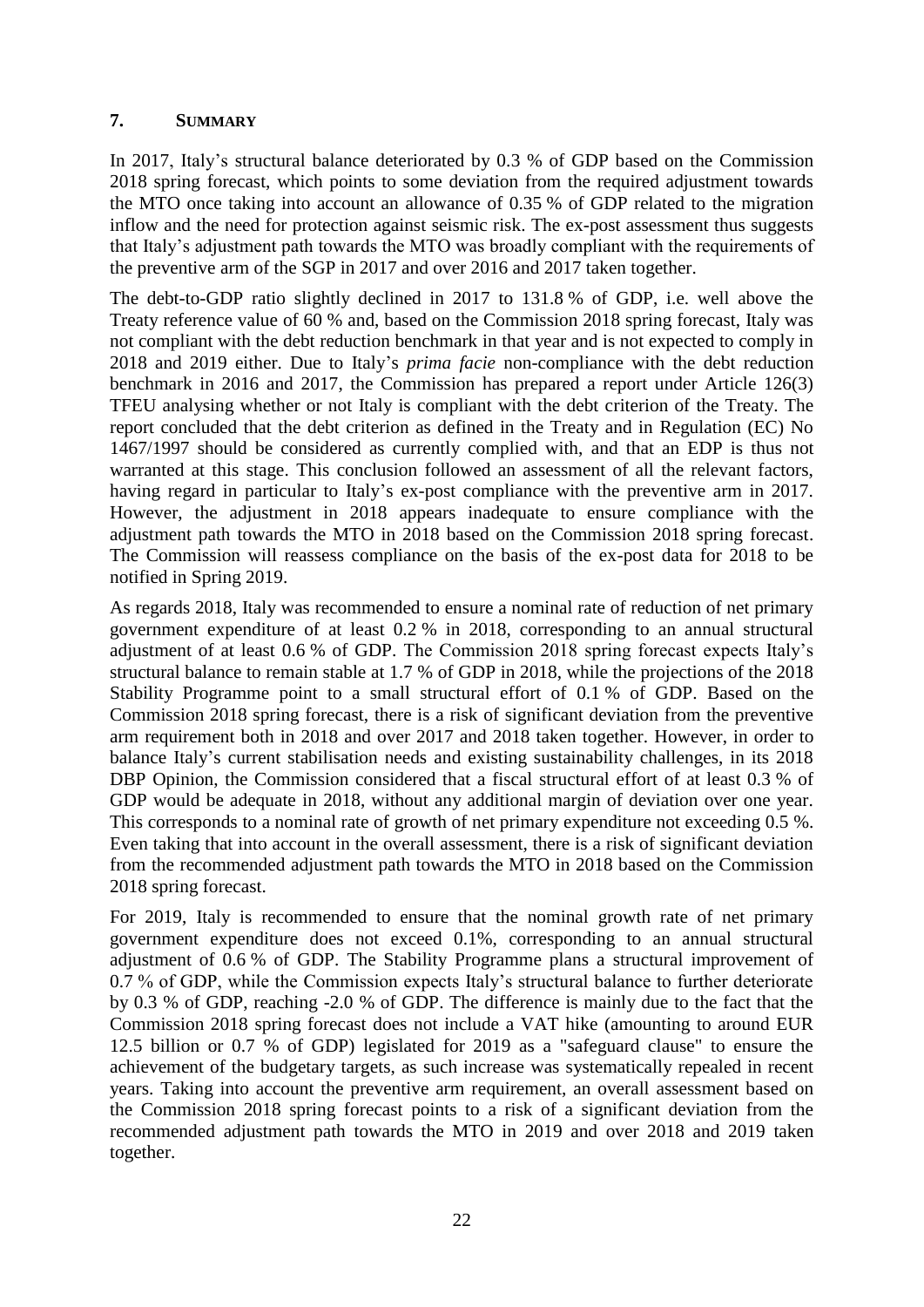### <span id="page-21-0"></span>**7. SUMMARY**

In 2017, Italy's structural balance deteriorated by 0.3 % of GDP based on the Commission 2018 spring forecast, which points to some deviation from the required adjustment towards the MTO once taking into account an allowance of 0.35 % of GDP related to the migration inflow and the need for protection against seismic risk. The ex-post assessment thus suggests that Italy's adjustment path towards the MTO was broadly compliant with the requirements of the preventive arm of the SGP in 2017 and over 2016 and 2017 taken together.

The debt-to-GDP ratio slightly declined in 2017 to 131.8 % of GDP, i.e. well above the Treaty reference value of 60 % and, based on the Commission 2018 spring forecast, Italy was not compliant with the debt reduction benchmark in that year and is not expected to comply in 2018 and 2019 either. Due to Italy's *prima facie* non-compliance with the debt reduction benchmark in 2016 and 2017, the Commission has prepared a report under Article 126(3) TFEU analysing whether or not Italy is compliant with the debt criterion of the Treaty. The report concluded that the debt criterion as defined in the Treaty and in Regulation (EC) No 1467/1997 should be considered as currently complied with, and that an EDP is thus not warranted at this stage. This conclusion followed an assessment of all the relevant factors, having regard in particular to Italy's ex-post compliance with the preventive arm in 2017. However, the adjustment in 2018 appears inadequate to ensure compliance with the adjustment path towards the MTO in 2018 based on the Commission 2018 spring forecast. The Commission will reassess compliance on the basis of the ex-post data for 2018 to be notified in Spring 2019.

As regards 2018, Italy was recommended to ensure a nominal rate of reduction of net primary government expenditure of at least 0.2 % in 2018, corresponding to an annual structural adjustment of at least 0.6 % of GDP. The Commission 2018 spring forecast expects Italy's structural balance to remain stable at 1.7 % of GDP in 2018, while the projections of the 2018 Stability Programme point to a small structural effort of 0.1 % of GDP. Based on the Commission 2018 spring forecast, there is a risk of significant deviation from the preventive arm requirement both in 2018 and over 2017 and 2018 taken together. However, in order to balance Italy's current stabilisation needs and existing sustainability challenges, in its 2018 DBP Opinion, the Commission considered that a fiscal structural effort of at least 0.3 % of GDP would be adequate in 2018, without any additional margin of deviation over one year. This corresponds to a nominal rate of growth of net primary expenditure not exceeding 0.5 %. Even taking that into account in the overall assessment, there is a risk of significant deviation from the recommended adjustment path towards the MTO in 2018 based on the Commission 2018 spring forecast.

For 2019, Italy is recommended to ensure that the nominal growth rate of net primary government expenditure does not exceed 0.1%, corresponding to an annual structural adjustment of 0.6 % of GDP. The Stability Programme plans a structural improvement of 0.7 % of GDP, while the Commission expects Italy's structural balance to further deteriorate by 0.3 % of GDP, reaching -2.0 % of GDP. The difference is mainly due to the fact that the Commission 2018 spring forecast does not include a VAT hike (amounting to around EUR 12.5 billion or 0.7 % of GDP) legislated for 2019 as a "safeguard clause" to ensure the achievement of the budgetary targets, as such increase was systematically repealed in recent years. Taking into account the preventive arm requirement, an overall assessment based on the Commission 2018 spring forecast points to a risk of a significant deviation from the recommended adjustment path towards the MTO in 2019 and over 2018 and 2019 taken together.